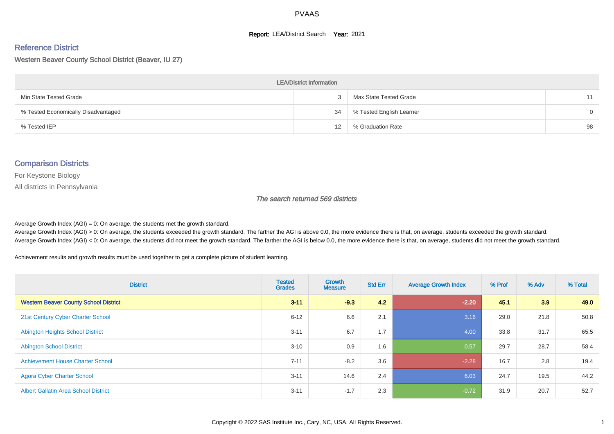#### **Report: LEA/District Search Year: 2021**

#### Reference District

Western Beaver County School District (Beaver, IU 27)

| <b>LEA/District Information</b>     |    |                          |          |  |  |  |  |  |  |
|-------------------------------------|----|--------------------------|----------|--|--|--|--|--|--|
| Min State Tested Grade              |    | Max State Tested Grade   | 11       |  |  |  |  |  |  |
| % Tested Economically Disadvantaged | 34 | % Tested English Learner | $\Omega$ |  |  |  |  |  |  |
| % Tested IEP                        | 12 | % Graduation Rate        | 98       |  |  |  |  |  |  |

#### Comparison Districts

For Keystone Biology

All districts in Pennsylvania

The search returned 569 districts

Average Growth Index  $(AGI) = 0$ : On average, the students met the growth standard.

Average Growth Index (AGI) > 0: On average, the students exceeded the growth standard. The farther the AGI is above 0.0, the more evidence there is that, on average, students exceeded the growth standard. Average Growth Index (AGI) < 0: On average, the students did not meet the growth standard. The farther the AGI is below 0.0, the more evidence there is that, on average, students did not meet the growth standard.

Achievement results and growth results must be used together to get a complete picture of student learning.

| <b>District</b>                              | <b>Tested</b><br><b>Grades</b> | <b>Growth</b><br><b>Measure</b> | <b>Std Err</b> | <b>Average Growth Index</b> | % Prof | % Adv | % Total |
|----------------------------------------------|--------------------------------|---------------------------------|----------------|-----------------------------|--------|-------|---------|
| <b>Western Beaver County School District</b> | $3 - 11$                       | $-9.3$                          | 4.2            | $-2.20$                     | 45.1   | 3.9   | 49.0    |
| 21st Century Cyber Charter School            | $6 - 12$                       | 6.6                             | 2.1            | 3.16                        | 29.0   | 21.8  | 50.8    |
| <b>Abington Heights School District</b>      | $3 - 11$                       | 6.7                             | 1.7            | 4.00                        | 33.8   | 31.7  | 65.5    |
| <b>Abington School District</b>              | $3 - 10$                       | 0.9                             | 1.6            | 0.57                        | 29.7   | 28.7  | 58.4    |
| <b>Achievement House Charter School</b>      | $7 - 11$                       | $-8.2$                          | 3.6            | $-2.28$                     | 16.7   | 2.8   | 19.4    |
| <b>Agora Cyber Charter School</b>            | $3 - 11$                       | 14.6                            | 2.4            | 6.03                        | 24.7   | 19.5  | 44.2    |
| <b>Albert Gallatin Area School District</b>  | $3 - 11$                       | $-1.7$                          | 2.3            | $-0.72$                     | 31.9   | 20.7  | 52.7    |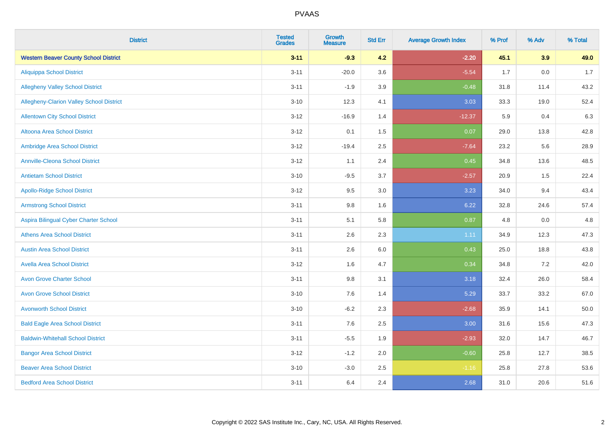| <b>District</b>                              | <b>Tested</b><br><b>Grades</b> | Growth<br><b>Measure</b> | <b>Std Err</b> | <b>Average Growth Index</b> | % Prof | % Adv | % Total |
|----------------------------------------------|--------------------------------|--------------------------|----------------|-----------------------------|--------|-------|---------|
| <b>Western Beaver County School District</b> | $3 - 11$                       | $-9.3$                   | 4.2            | $-2.20$                     | 45.1   | 3.9   | 49.0    |
| <b>Aliquippa School District</b>             | $3 - 11$                       | $-20.0$                  | 3.6            | $-5.54$                     | 1.7    | 0.0   | 1.7     |
| <b>Allegheny Valley School District</b>      | $3 - 11$                       | $-1.9$                   | 3.9            | $-0.48$                     | 31.8   | 11.4  | 43.2    |
| Allegheny-Clarion Valley School District     | $3 - 10$                       | 12.3                     | 4.1            | 3.03                        | 33.3   | 19.0  | 52.4    |
| <b>Allentown City School District</b>        | $3 - 12$                       | $-16.9$                  | 1.4            | $-12.37$                    | 5.9    | 0.4   | 6.3     |
| <b>Altoona Area School District</b>          | $3 - 12$                       | 0.1                      | 1.5            | 0.07                        | 29.0   | 13.8  | 42.8    |
| Ambridge Area School District                | $3 - 12$                       | $-19.4$                  | 2.5            | $-7.64$                     | 23.2   | 5.6   | 28.9    |
| <b>Annville-Cleona School District</b>       | $3 - 12$                       | 1.1                      | 2.4            | 0.45                        | 34.8   | 13.6  | 48.5    |
| <b>Antietam School District</b>              | $3 - 10$                       | $-9.5$                   | 3.7            | $-2.57$                     | 20.9   | 1.5   | 22.4    |
| <b>Apollo-Ridge School District</b>          | $3 - 12$                       | 9.5                      | 3.0            | 3.23                        | 34.0   | 9.4   | 43.4    |
| <b>Armstrong School District</b>             | $3 - 11$                       | 9.8                      | 1.6            | 6.22                        | 32.8   | 24.6  | 57.4    |
| Aspira Bilingual Cyber Charter School        | $3 - 11$                       | 5.1                      | 5.8            | 0.87                        | 4.8    | 0.0   | 4.8     |
| <b>Athens Area School District</b>           | $3 - 11$                       | 2.6                      | 2.3            | 1.11                        | 34.9   | 12.3  | 47.3    |
| <b>Austin Area School District</b>           | $3 - 11$                       | 2.6                      | 6.0            | 0.43                        | 25.0   | 18.8  | 43.8    |
| <b>Avella Area School District</b>           | $3 - 12$                       | 1.6                      | 4.7            | 0.34                        | 34.8   | 7.2   | 42.0    |
| <b>Avon Grove Charter School</b>             | $3 - 11$                       | $9.8\,$                  | 3.1            | 3.18                        | 32.4   | 26.0  | 58.4    |
| <b>Avon Grove School District</b>            | $3 - 10$                       | 7.6                      | 1.4            | 5.29                        | 33.7   | 33.2  | 67.0    |
| <b>Avonworth School District</b>             | $3 - 10$                       | $-6.2$                   | 2.3            | $-2.68$                     | 35.9   | 14.1  | 50.0    |
| <b>Bald Eagle Area School District</b>       | $3 - 11$                       | 7.6                      | 2.5            | 3.00                        | 31.6   | 15.6  | 47.3    |
| <b>Baldwin-Whitehall School District</b>     | $3 - 11$                       | $-5.5$                   | 1.9            | $-2.93$                     | 32.0   | 14.7  | 46.7    |
| <b>Bangor Area School District</b>           | $3 - 12$                       | $-1.2$                   | 2.0            | $-0.60$                     | 25.8   | 12.7  | 38.5    |
| <b>Beaver Area School District</b>           | $3 - 10$                       | $-3.0$                   | 2.5            | $-1.16$                     | 25.8   | 27.8  | 53.6    |
| <b>Bedford Area School District</b>          | $3 - 11$                       | 6.4                      | 2.4            | 2.68                        | 31.0   | 20.6  | 51.6    |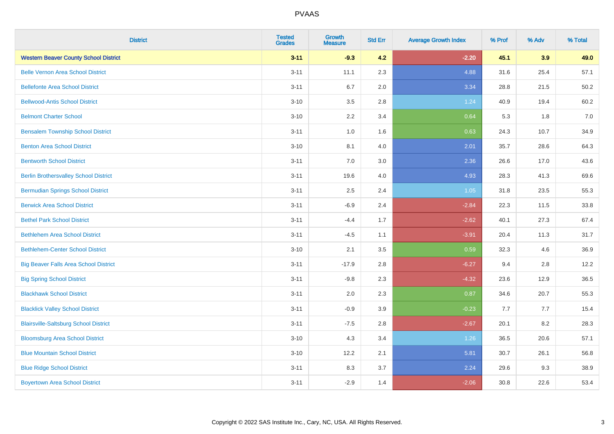| <b>District</b>                              | <b>Tested</b><br><b>Grades</b> | Growth<br><b>Measure</b> | <b>Std Err</b> | <b>Average Growth Index</b> | % Prof | % Adv | % Total |
|----------------------------------------------|--------------------------------|--------------------------|----------------|-----------------------------|--------|-------|---------|
| <b>Western Beaver County School District</b> | $3 - 11$                       | $-9.3$                   | 4.2            | $-2.20$                     | 45.1   | 3.9   | 49.0    |
| <b>Belle Vernon Area School District</b>     | $3 - 11$                       | 11.1                     | 2.3            | 4.88                        | 31.6   | 25.4  | 57.1    |
| <b>Bellefonte Area School District</b>       | $3 - 11$                       | 6.7                      | 2.0            | 3.34                        | 28.8   | 21.5  | 50.2    |
| <b>Bellwood-Antis School District</b>        | $3 - 10$                       | 3.5                      | 2.8            | 1.24                        | 40.9   | 19.4  | 60.2    |
| <b>Belmont Charter School</b>                | $3 - 10$                       | 2.2                      | 3.4            | 0.64                        | 5.3    | 1.8   | 7.0     |
| <b>Bensalem Township School District</b>     | $3 - 11$                       | 1.0                      | 1.6            | 0.63                        | 24.3   | 10.7  | 34.9    |
| <b>Benton Area School District</b>           | $3 - 10$                       | 8.1                      | 4.0            | 2.01                        | 35.7   | 28.6  | 64.3    |
| <b>Bentworth School District</b>             | $3 - 11$                       | 7.0                      | 3.0            | 2.36                        | 26.6   | 17.0  | 43.6    |
| <b>Berlin Brothersvalley School District</b> | $3 - 11$                       | 19.6                     | 4.0            | 4.93                        | 28.3   | 41.3  | 69.6    |
| <b>Bermudian Springs School District</b>     | $3 - 11$                       | 2.5                      | 2.4            | 1.05                        | 31.8   | 23.5  | 55.3    |
| <b>Berwick Area School District</b>          | $3 - 11$                       | $-6.9$                   | 2.4            | $-2.84$                     | 22.3   | 11.5  | 33.8    |
| <b>Bethel Park School District</b>           | $3 - 11$                       | $-4.4$                   | 1.7            | $-2.62$                     | 40.1   | 27.3  | 67.4    |
| <b>Bethlehem Area School District</b>        | $3 - 11$                       | $-4.5$                   | 1.1            | $-3.91$                     | 20.4   | 11.3  | 31.7    |
| <b>Bethlehem-Center School District</b>      | $3 - 10$                       | 2.1                      | 3.5            | 0.59                        | 32.3   | 4.6   | 36.9    |
| <b>Big Beaver Falls Area School District</b> | $3 - 11$                       | $-17.9$                  | 2.8            | $-6.27$                     | 9.4    | 2.8   | 12.2    |
| <b>Big Spring School District</b>            | $3 - 11$                       | $-9.8$                   | 2.3            | $-4.32$                     | 23.6   | 12.9  | 36.5    |
| <b>Blackhawk School District</b>             | $3 - 11$                       | 2.0                      | 2.3            | 0.87                        | 34.6   | 20.7  | 55.3    |
| <b>Blacklick Valley School District</b>      | $3 - 11$                       | $-0.9$                   | 3.9            | $-0.23$                     | 7.7    | 7.7   | 15.4    |
| <b>Blairsville-Saltsburg School District</b> | $3 - 11$                       | $-7.5$                   | 2.8            | $-2.67$                     | 20.1   | 8.2   | 28.3    |
| <b>Bloomsburg Area School District</b>       | $3 - 10$                       | 4.3                      | 3.4            | 1.26                        | 36.5   | 20.6  | 57.1    |
| <b>Blue Mountain School District</b>         | $3 - 10$                       | 12.2                     | 2.1            | 5.81                        | 30.7   | 26.1  | 56.8    |
| <b>Blue Ridge School District</b>            | $3 - 11$                       | 8.3                      | 3.7            | 2.24                        | 29.6   | 9.3   | 38.9    |
| <b>Boyertown Area School District</b>        | $3 - 11$                       | $-2.9$                   | 1.4            | $-2.06$                     | 30.8   | 22.6  | 53.4    |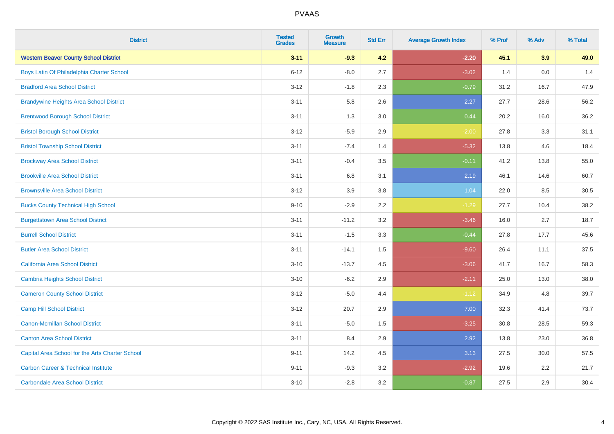| <b>District</b>                                 | <b>Tested</b><br><b>Grades</b> | <b>Growth</b><br><b>Measure</b> | <b>Std Err</b> | <b>Average Growth Index</b> | % Prof | % Adv | % Total |
|-------------------------------------------------|--------------------------------|---------------------------------|----------------|-----------------------------|--------|-------|---------|
| <b>Western Beaver County School District</b>    | $3 - 11$                       | $-9.3$                          | 4.2            | $-2.20$                     | 45.1   | 3.9   | 49.0    |
| Boys Latin Of Philadelphia Charter School       | $6 - 12$                       | $-8.0$                          | 2.7            | $-3.02$                     | 1.4    | 0.0   | 1.4     |
| <b>Bradford Area School District</b>            | $3 - 12$                       | $-1.8$                          | 2.3            | $-0.79$                     | 31.2   | 16.7  | 47.9    |
| <b>Brandywine Heights Area School District</b>  | $3 - 11$                       | 5.8                             | 2.6            | 2.27                        | 27.7   | 28.6  | 56.2    |
| <b>Brentwood Borough School District</b>        | $3 - 11$                       | 1.3                             | 3.0            | 0.44                        | 20.2   | 16.0  | 36.2    |
| <b>Bristol Borough School District</b>          | $3 - 12$                       | $-5.9$                          | 2.9            | $-2.00$                     | 27.8   | 3.3   | 31.1    |
| <b>Bristol Township School District</b>         | $3 - 11$                       | $-7.4$                          | 1.4            | $-5.32$                     | 13.8   | 4.6   | 18.4    |
| <b>Brockway Area School District</b>            | $3 - 11$                       | $-0.4$                          | 3.5            | $-0.11$                     | 41.2   | 13.8  | 55.0    |
| <b>Brookville Area School District</b>          | $3 - 11$                       | 6.8                             | 3.1            | 2.19                        | 46.1   | 14.6  | 60.7    |
| <b>Brownsville Area School District</b>         | $3 - 12$                       | 3.9                             | 3.8            | 1.04                        | 22.0   | 8.5   | 30.5    |
| <b>Bucks County Technical High School</b>       | $9 - 10$                       | $-2.9$                          | 2.2            | $-1.29$                     | 27.7   | 10.4  | 38.2    |
| <b>Burgettstown Area School District</b>        | $3 - 11$                       | $-11.2$                         | 3.2            | $-3.46$                     | 16.0   | 2.7   | 18.7    |
| <b>Burrell School District</b>                  | $3 - 11$                       | $-1.5$                          | 3.3            | $-0.44$                     | 27.8   | 17.7  | 45.6    |
| <b>Butler Area School District</b>              | $3 - 11$                       | $-14.1$                         | 1.5            | $-9.60$                     | 26.4   | 11.1  | 37.5    |
| California Area School District                 | $3 - 10$                       | $-13.7$                         | 4.5            | $-3.06$                     | 41.7   | 16.7  | 58.3    |
| <b>Cambria Heights School District</b>          | $3 - 10$                       | $-6.2$                          | 2.9            | $-2.11$                     | 25.0   | 13.0  | 38.0    |
| <b>Cameron County School District</b>           | $3 - 12$                       | $-5.0$                          | 4.4            | $-1.12$                     | 34.9   | 4.8   | 39.7    |
| <b>Camp Hill School District</b>                | $3 - 12$                       | 20.7                            | 2.9            | 7.00                        | 32.3   | 41.4  | 73.7    |
| <b>Canon-Mcmillan School District</b>           | $3 - 11$                       | $-5.0$                          | $1.5$          | $-3.25$                     | 30.8   | 28.5  | 59.3    |
| <b>Canton Area School District</b>              | $3 - 11$                       | 8.4                             | 2.9            | 2.92                        | 13.8   | 23.0  | 36.8    |
| Capital Area School for the Arts Charter School | $9 - 11$                       | 14.2                            | 4.5            | 3.13                        | 27.5   | 30.0  | 57.5    |
| <b>Carbon Career &amp; Technical Institute</b>  | $9 - 11$                       | $-9.3$                          | 3.2            | $-2.92$                     | 19.6   | 2.2   | 21.7    |
| <b>Carbondale Area School District</b>          | $3 - 10$                       | $-2.8$                          | 3.2            | $-0.87$                     | 27.5   | 2.9   | 30.4    |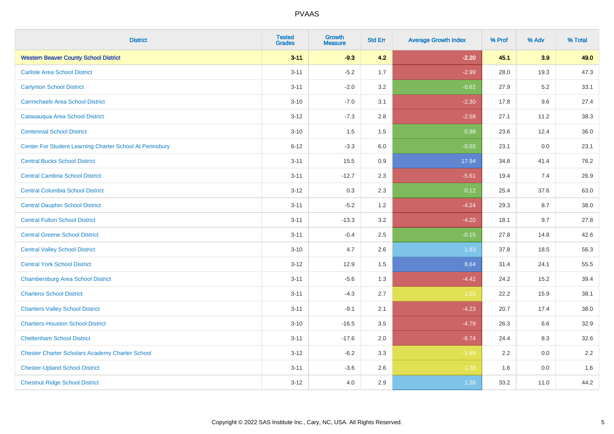| <b>District</b>                                         | <b>Tested</b><br><b>Grades</b> | Growth<br><b>Measure</b> | <b>Std Err</b> | <b>Average Growth Index</b> | % Prof | % Adv | % Total |
|---------------------------------------------------------|--------------------------------|--------------------------|----------------|-----------------------------|--------|-------|---------|
| <b>Western Beaver County School District</b>            | $3 - 11$                       | $-9.3$                   | 4.2            | $-2.20$                     | 45.1   | 3.9   | 49.0    |
| <b>Carlisle Area School District</b>                    | $3 - 11$                       | $-5.2$                   | 1.7            | $-2.99$                     | 28.0   | 19.3  | 47.3    |
| <b>Carlynton School District</b>                        | $3 - 11$                       | $-2.0$                   | 3.2            | $-0.62$                     | 27.9   | 5.2   | 33.1    |
| <b>Carmichaels Area School District</b>                 | $3 - 10$                       | $-7.0$                   | 3.1            | $-2.30$                     | 17.8   | 9.6   | 27.4    |
| Catasauqua Area School District                         | $3 - 12$                       | $-7.3$                   | 2.8            | $-2.58$                     | 27.1   | 11.2  | 38.3    |
| <b>Centennial School District</b>                       | $3 - 10$                       | 1.5                      | 1.5            | 0.98                        | 23.6   | 12.4  | 36.0    |
| Center For Student Learning Charter School At Pennsbury | $6 - 12$                       | $-3.3$                   | 6.0            | $-0.55$                     | 23.1   | 0.0   | 23.1    |
| <b>Central Bucks School District</b>                    | $3 - 11$                       | 15.5                     | 0.9            | 17.94                       | 34.8   | 41.4  | 76.2    |
| <b>Central Cambria School District</b>                  | $3 - 11$                       | $-12.7$                  | 2.3            | $-5.61$                     | 19.4   | 7.4   | 26.9    |
| <b>Central Columbia School District</b>                 | $3 - 12$                       | 0.3                      | 2.3            | 0.12                        | 25.4   | 37.6  | 63.0    |
| <b>Central Dauphin School District</b>                  | $3 - 11$                       | $-5.2$                   | 1.2            | $-4.24$                     | 29.3   | 8.7   | 38.0    |
| <b>Central Fulton School District</b>                   | $3 - 11$                       | $-13.3$                  | 3.2            | $-4.20$                     | 18.1   | 9.7   | 27.8    |
| <b>Central Greene School District</b>                   | $3 - 11$                       | $-0.4$                   | 2.5            | $-0.15$                     | 27.8   | 14.8  | 42.6    |
| <b>Central Valley School District</b>                   | $3 - 10$                       | 4.7                      | 2.6            | 1.83                        | 37.8   | 18.5  | 56.3    |
| <b>Central York School District</b>                     | $3 - 12$                       | 12.9                     | 1.5            | 8.64                        | 31.4   | 24.1  | 55.5    |
| <b>Chambersburg Area School District</b>                | $3 - 11$                       | $-5.6$                   | 1.3            | $-4.42$                     | 24.2   | 15.2  | 39.4    |
| <b>Charleroi School District</b>                        | $3 - 11$                       | $-4.3$                   | 2.7            | $-1.55$                     | 22.2   | 15.9  | 38.1    |
| <b>Chartiers Valley School District</b>                 | $3 - 11$                       | $-9.1$                   | 2.1            | $-4.23$                     | 20.7   | 17.4  | 38.0    |
| <b>Chartiers-Houston School District</b>                | $3 - 10$                       | $-16.5$                  | 3.5            | $-4.79$                     | 26.3   | 6.6   | 32.9    |
| <b>Cheltenham School District</b>                       | $3 - 11$                       | $-17.6$                  | 2.0            | $-8.74$                     | 24.4   | 8.3   | 32.6    |
| <b>Chester Charter Scholars Academy Charter School</b>  | $3 - 12$                       | $-6.2$                   | 3.3            | $-1.88$                     | 2.2    | 0.0   | 2.2     |
| <b>Chester-Upland School District</b>                   | $3 - 11$                       | $-3.6$                   | 2.6            | $-1.38$                     | 1.6    | 0.0   | 1.6     |
| <b>Chestnut Ridge School District</b>                   | $3-12$                         | 4.0                      | 2.9            | 1.38                        | 33.2   | 11.0  | 44.2    |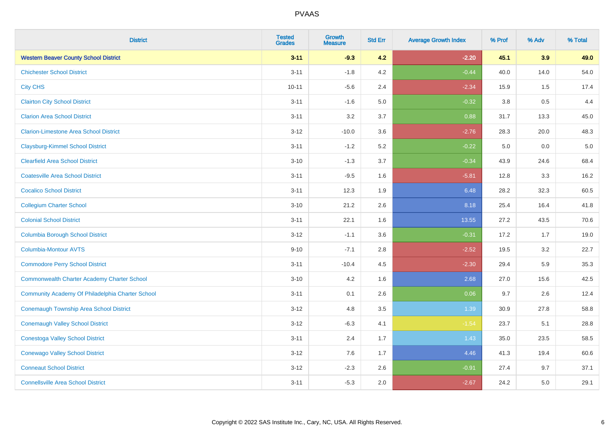| <b>District</b>                                    | <b>Tested</b><br><b>Grades</b> | <b>Growth</b><br><b>Measure</b> | <b>Std Err</b> | <b>Average Growth Index</b> | % Prof  | % Adv | % Total |
|----------------------------------------------------|--------------------------------|---------------------------------|----------------|-----------------------------|---------|-------|---------|
| <b>Western Beaver County School District</b>       | $3 - 11$                       | $-9.3$                          | 4.2            | $-2.20$                     | 45.1    | 3.9   | 49.0    |
| <b>Chichester School District</b>                  | $3 - 11$                       | $-1.8$                          | 4.2            | $-0.44$                     | 40.0    | 14.0  | 54.0    |
| <b>City CHS</b>                                    | $10 - 11$                      | $-5.6$                          | 2.4            | $-2.34$                     | 15.9    | 1.5   | 17.4    |
| <b>Clairton City School District</b>               | $3 - 11$                       | $-1.6$                          | 5.0            | $-0.32$                     | $3.8\,$ | 0.5   | 4.4     |
| <b>Clarion Area School District</b>                | $3 - 11$                       | 3.2                             | 3.7            | 0.88                        | 31.7    | 13.3  | 45.0    |
| <b>Clarion-Limestone Area School District</b>      | $3 - 12$                       | $-10.0$                         | 3.6            | $-2.76$                     | 28.3    | 20.0  | 48.3    |
| <b>Claysburg-Kimmel School District</b>            | $3 - 11$                       | $-1.2$                          | 5.2            | $-0.22$                     | 5.0     | 0.0   | $5.0$   |
| <b>Clearfield Area School District</b>             | $3 - 10$                       | $-1.3$                          | 3.7            | $-0.34$                     | 43.9    | 24.6  | 68.4    |
| <b>Coatesville Area School District</b>            | $3 - 11$                       | $-9.5$                          | 1.6            | $-5.81$                     | 12.8    | 3.3   | 16.2    |
| <b>Cocalico School District</b>                    | $3 - 11$                       | 12.3                            | 1.9            | 6.48                        | 28.2    | 32.3  | 60.5    |
| <b>Collegium Charter School</b>                    | $3 - 10$                       | 21.2                            | 2.6            | 8.18                        | 25.4    | 16.4  | 41.8    |
| <b>Colonial School District</b>                    | $3 - 11$                       | 22.1                            | 1.6            | 13.55                       | 27.2    | 43.5  | 70.6    |
| <b>Columbia Borough School District</b>            | $3 - 12$                       | $-1.1$                          | 3.6            | $-0.31$                     | 17.2    | 1.7   | 19.0    |
| Columbia-Montour AVTS                              | $9 - 10$                       | $-7.1$                          | 2.8            | $-2.52$                     | 19.5    | 3.2   | 22.7    |
| <b>Commodore Perry School District</b>             | $3 - 11$                       | $-10.4$                         | 4.5            | $-2.30$                     | 29.4    | 5.9   | 35.3    |
| <b>Commonwealth Charter Academy Charter School</b> | $3 - 10$                       | 4.2                             | 1.6            | 2.68                        | 27.0    | 15.6  | 42.5    |
| Community Academy Of Philadelphia Charter School   | $3 - 11$                       | 0.1                             | 2.6            | 0.06                        | 9.7     | 2.6   | 12.4    |
| Conemaugh Township Area School District            | $3 - 12$                       | 4.8                             | 3.5            | 1.39                        | 30.9    | 27.8  | 58.8    |
| <b>Conemaugh Valley School District</b>            | $3 - 12$                       | $-6.3$                          | 4.1            | $-1.54$                     | 23.7    | 5.1   | 28.8    |
| <b>Conestoga Valley School District</b>            | $3 - 11$                       | 2.4                             | 1.7            | 1.43                        | 35.0    | 23.5  | 58.5    |
| <b>Conewago Valley School District</b>             | $3 - 12$                       | 7.6                             | 1.7            | 4.46                        | 41.3    | 19.4  | 60.6    |
| <b>Conneaut School District</b>                    | $3 - 12$                       | $-2.3$                          | 2.6            | $-0.91$                     | 27.4    | 9.7   | 37.1    |
| <b>Connellsville Area School District</b>          | $3 - 11$                       | $-5.3$                          | 2.0            | $-2.67$                     | 24.2    | 5.0   | 29.1    |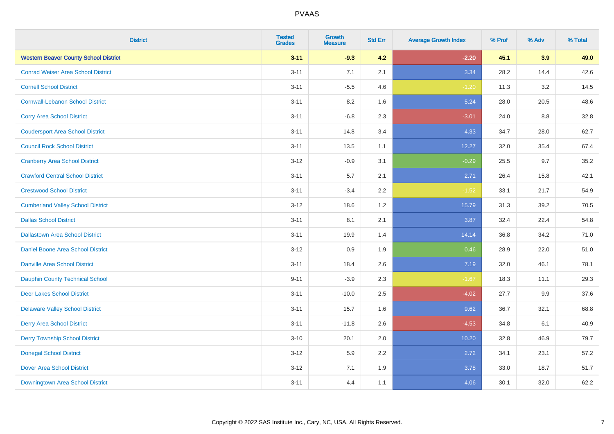| <b>District</b>                              | <b>Tested</b><br><b>Grades</b> | <b>Growth</b><br><b>Measure</b> | <b>Std Err</b> | <b>Average Growth Index</b> | % Prof | % Adv | % Total |
|----------------------------------------------|--------------------------------|---------------------------------|----------------|-----------------------------|--------|-------|---------|
| <b>Western Beaver County School District</b> | $3 - 11$                       | $-9.3$                          | 4.2            | $-2.20$                     | 45.1   | 3.9   | 49.0    |
| <b>Conrad Weiser Area School District</b>    | $3 - 11$                       | 7.1                             | 2.1            | 3.34                        | 28.2   | 14.4  | 42.6    |
| <b>Cornell School District</b>               | $3 - 11$                       | $-5.5$                          | 4.6            | $-1.20$                     | 11.3   | 3.2   | 14.5    |
| <b>Cornwall-Lebanon School District</b>      | $3 - 11$                       | 8.2                             | 1.6            | 5.24                        | 28.0   | 20.5  | 48.6    |
| <b>Corry Area School District</b>            | $3 - 11$                       | $-6.8$                          | 2.3            | $-3.01$                     | 24.0   | 8.8   | 32.8    |
| <b>Coudersport Area School District</b>      | $3 - 11$                       | 14.8                            | 3.4            | 4.33                        | 34.7   | 28.0  | 62.7    |
| <b>Council Rock School District</b>          | $3 - 11$                       | 13.5                            | 1.1            | 12.27                       | 32.0   | 35.4  | 67.4    |
| <b>Cranberry Area School District</b>        | $3 - 12$                       | $-0.9$                          | 3.1            | $-0.29$                     | 25.5   | 9.7   | 35.2    |
| <b>Crawford Central School District</b>      | $3 - 11$                       | 5.7                             | 2.1            | 2.71                        | 26.4   | 15.8  | 42.1    |
| <b>Crestwood School District</b>             | $3 - 11$                       | $-3.4$                          | 2.2            | $-1.52$                     | 33.1   | 21.7  | 54.9    |
| <b>Cumberland Valley School District</b>     | $3 - 12$                       | 18.6                            | 1.2            | 15.79                       | 31.3   | 39.2  | 70.5    |
| <b>Dallas School District</b>                | $3 - 11$                       | 8.1                             | 2.1            | 3.87                        | 32.4   | 22.4  | 54.8    |
| <b>Dallastown Area School District</b>       | $3 - 11$                       | 19.9                            | 1.4            | 14.14                       | 36.8   | 34.2  | 71.0    |
| <b>Daniel Boone Area School District</b>     | $3 - 12$                       | 0.9                             | 1.9            | 0.46                        | 28.9   | 22.0  | 51.0    |
| <b>Danville Area School District</b>         | $3 - 11$                       | 18.4                            | 2.6            | 7.19                        | 32.0   | 46.1  | 78.1    |
| <b>Dauphin County Technical School</b>       | $9 - 11$                       | $-3.9$                          | 2.3            | $-1.67$                     | 18.3   | 11.1  | 29.3    |
| <b>Deer Lakes School District</b>            | $3 - 11$                       | $-10.0$                         | 2.5            | $-4.02$                     | 27.7   | 9.9   | 37.6    |
| <b>Delaware Valley School District</b>       | $3 - 11$                       | 15.7                            | 1.6            | 9.62                        | 36.7   | 32.1  | 68.8    |
| <b>Derry Area School District</b>            | $3 - 11$                       | $-11.8$                         | 2.6            | $-4.53$                     | 34.8   | 6.1   | 40.9    |
| <b>Derry Township School District</b>        | $3 - 10$                       | 20.1                            | 2.0            | 10.20                       | 32.8   | 46.9  | 79.7    |
| <b>Donegal School District</b>               | $3 - 12$                       | 5.9                             | 2.2            | 2.72                        | 34.1   | 23.1  | 57.2    |
| <b>Dover Area School District</b>            | $3 - 12$                       | 7.1                             | 1.9            | 3.78                        | 33.0   | 18.7  | 51.7    |
| Downingtown Area School District             | $3 - 11$                       | 4.4                             | 1.1            | 4.06                        | 30.1   | 32.0  | 62.2    |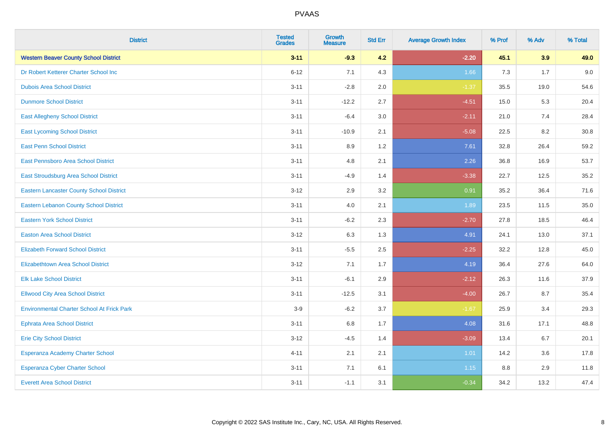| <b>District</b>                                   | <b>Tested</b><br><b>Grades</b> | Growth<br><b>Measure</b> | <b>Std Err</b> | <b>Average Growth Index</b> | % Prof | % Adv | % Total |
|---------------------------------------------------|--------------------------------|--------------------------|----------------|-----------------------------|--------|-------|---------|
| <b>Western Beaver County School District</b>      | $3 - 11$                       | $-9.3$                   | 4.2            | $-2.20$                     | 45.1   | 3.9   | 49.0    |
| Dr Robert Ketterer Charter School Inc             | $6 - 12$                       | 7.1                      | 4.3            | 1.66                        | 7.3    | 1.7   | 9.0     |
| <b>Dubois Area School District</b>                | $3 - 11$                       | $-2.8$                   | 2.0            | $-1.37$                     | 35.5   | 19.0  | 54.6    |
| <b>Dunmore School District</b>                    | $3 - 11$                       | $-12.2$                  | 2.7            | $-4.51$                     | 15.0   | 5.3   | 20.4    |
| <b>East Allegheny School District</b>             | $3 - 11$                       | $-6.4$                   | 3.0            | $-2.11$                     | 21.0   | 7.4   | 28.4    |
| <b>East Lycoming School District</b>              | $3 - 11$                       | $-10.9$                  | 2.1            | $-5.08$                     | 22.5   | 8.2   | 30.8    |
| <b>East Penn School District</b>                  | $3 - 11$                       | 8.9                      | 1.2            | 7.61                        | 32.8   | 26.4  | 59.2    |
| East Pennsboro Area School District               | $3 - 11$                       | 4.8                      | 2.1            | 2.26                        | 36.8   | 16.9  | 53.7    |
| East Stroudsburg Area School District             | $3 - 11$                       | $-4.9$                   | 1.4            | $-3.38$                     | 22.7   | 12.5  | 35.2    |
| <b>Eastern Lancaster County School District</b>   | $3 - 12$                       | 2.9                      | 3.2            | 0.91                        | 35.2   | 36.4  | 71.6    |
| <b>Eastern Lebanon County School District</b>     | $3 - 11$                       | 4.0                      | 2.1            | 1.89                        | 23.5   | 11.5  | 35.0    |
| <b>Eastern York School District</b>               | $3 - 11$                       | $-6.2$                   | 2.3            | $-2.70$                     | 27.8   | 18.5  | 46.4    |
| <b>Easton Area School District</b>                | $3 - 12$                       | 6.3                      | 1.3            | 4.91                        | 24.1   | 13.0  | 37.1    |
| <b>Elizabeth Forward School District</b>          | $3 - 11$                       | $-5.5$                   | 2.5            | $-2.25$                     | 32.2   | 12.8  | 45.0    |
| <b>Elizabethtown Area School District</b>         | $3 - 12$                       | 7.1                      | 1.7            | 4.19                        | 36.4   | 27.6  | 64.0    |
| <b>Elk Lake School District</b>                   | $3 - 11$                       | $-6.1$                   | 2.9            | $-2.12$                     | 26.3   | 11.6  | 37.9    |
| <b>Ellwood City Area School District</b>          | $3 - 11$                       | $-12.5$                  | 3.1            | $-4.00$                     | 26.7   | 8.7   | 35.4    |
| <b>Environmental Charter School At Frick Park</b> | $3-9$                          | $-6.2$                   | 3.7            | $-1.67$                     | 25.9   | 3.4   | 29.3    |
| <b>Ephrata Area School District</b>               | $3 - 11$                       | 6.8                      | 1.7            | 4.08                        | 31.6   | 17.1  | 48.8    |
| <b>Erie City School District</b>                  | $3 - 12$                       | $-4.5$                   | 1.4            | $-3.09$                     | 13.4   | 6.7   | 20.1    |
| Esperanza Academy Charter School                  | $4 - 11$                       | 2.1                      | 2.1            | 1.01                        | 14.2   | 3.6   | 17.8    |
| Esperanza Cyber Charter School                    | $3 - 11$                       | 7.1                      | 6.1            | 1.15                        | 8.8    | 2.9   | 11.8    |
| <b>Everett Area School District</b>               | $3 - 11$                       | $-1.1$                   | 3.1            | $-0.34$                     | 34.2   | 13.2  | 47.4    |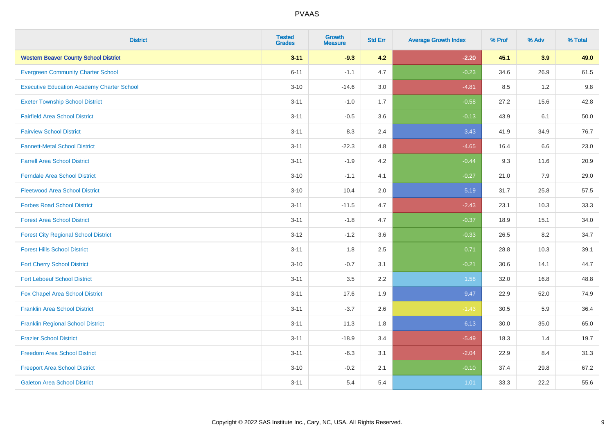| <b>District</b>                                   | <b>Tested</b><br><b>Grades</b> | <b>Growth</b><br><b>Measure</b> | <b>Std Err</b> | <b>Average Growth Index</b> | % Prof | % Adv | % Total |
|---------------------------------------------------|--------------------------------|---------------------------------|----------------|-----------------------------|--------|-------|---------|
| <b>Western Beaver County School District</b>      | $3 - 11$                       | $-9.3$                          | 4.2            | $-2.20$                     | 45.1   | 3.9   | 49.0    |
| <b>Evergreen Community Charter School</b>         | $6 - 11$                       | $-1.1$                          | 4.7            | $-0.23$                     | 34.6   | 26.9  | 61.5    |
| <b>Executive Education Academy Charter School</b> | $3 - 10$                       | $-14.6$                         | 3.0            | $-4.81$                     | 8.5    | 1.2   | 9.8     |
| <b>Exeter Township School District</b>            | $3 - 11$                       | $-1.0$                          | 1.7            | $-0.58$                     | 27.2   | 15.6  | 42.8    |
| <b>Fairfield Area School District</b>             | $3 - 11$                       | $-0.5$                          | 3.6            | $-0.13$                     | 43.9   | 6.1   | 50.0    |
| <b>Fairview School District</b>                   | $3 - 11$                       | 8.3                             | 2.4            | 3.43                        | 41.9   | 34.9  | 76.7    |
| <b>Fannett-Metal School District</b>              | $3 - 11$                       | $-22.3$                         | 4.8            | $-4.65$                     | 16.4   | 6.6   | 23.0    |
| <b>Farrell Area School District</b>               | $3 - 11$                       | $-1.9$                          | 4.2            | $-0.44$                     | 9.3    | 11.6  | 20.9    |
| <b>Ferndale Area School District</b>              | $3 - 10$                       | $-1.1$                          | 4.1            | $-0.27$                     | 21.0   | 7.9   | 29.0    |
| <b>Fleetwood Area School District</b>             | $3 - 10$                       | 10.4                            | 2.0            | 5.19                        | 31.7   | 25.8  | 57.5    |
| <b>Forbes Road School District</b>                | $3 - 11$                       | $-11.5$                         | 4.7            | $-2.43$                     | 23.1   | 10.3  | 33.3    |
| <b>Forest Area School District</b>                | $3 - 11$                       | $-1.8$                          | 4.7            | $-0.37$                     | 18.9   | 15.1  | 34.0    |
| <b>Forest City Regional School District</b>       | $3 - 12$                       | $-1.2$                          | 3.6            | $-0.33$                     | 26.5   | 8.2   | 34.7    |
| <b>Forest Hills School District</b>               | $3 - 11$                       | 1.8                             | 2.5            | 0.71                        | 28.8   | 10.3  | 39.1    |
| <b>Fort Cherry School District</b>                | $3 - 10$                       | $-0.7$                          | 3.1            | $-0.21$                     | 30.6   | 14.1  | 44.7    |
| <b>Fort Leboeuf School District</b>               | $3 - 11$                       | 3.5                             | 2.2            | 1.58                        | 32.0   | 16.8  | 48.8    |
| Fox Chapel Area School District                   | $3 - 11$                       | 17.6                            | 1.9            | 9.47                        | 22.9   | 52.0  | 74.9    |
| <b>Franklin Area School District</b>              | $3 - 11$                       | $-3.7$                          | 2.6            | $-1.43$                     | 30.5   | 5.9   | 36.4    |
| <b>Franklin Regional School District</b>          | $3 - 11$                       | 11.3                            | 1.8            | 6.13                        | 30.0   | 35.0  | 65.0    |
| <b>Frazier School District</b>                    | $3 - 11$                       | $-18.9$                         | 3.4            | $-5.49$                     | 18.3   | 1.4   | 19.7    |
| <b>Freedom Area School District</b>               | $3 - 11$                       | $-6.3$                          | 3.1            | $-2.04$                     | 22.9   | 8.4   | 31.3    |
| <b>Freeport Area School District</b>              | $3 - 10$                       | $-0.2$                          | 2.1            | $-0.10$                     | 37.4   | 29.8  | 67.2    |
| <b>Galeton Area School District</b>               | $3 - 11$                       | 5.4                             | 5.4            | 1.01                        | 33.3   | 22.2  | 55.6    |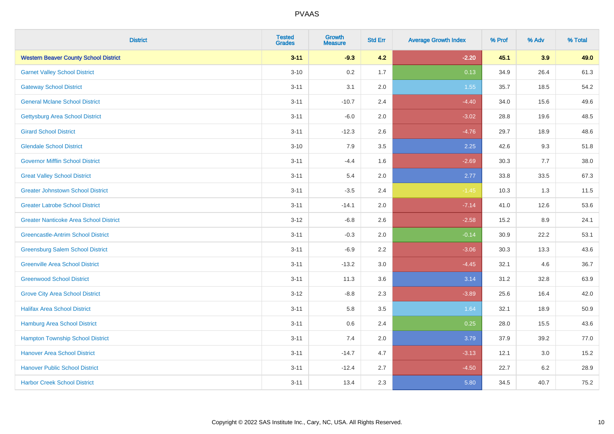| <b>District</b>                               | <b>Tested</b><br><b>Grades</b> | <b>Growth</b><br><b>Measure</b> | <b>Std Err</b> | <b>Average Growth Index</b> | % Prof | % Adv   | % Total |
|-----------------------------------------------|--------------------------------|---------------------------------|----------------|-----------------------------|--------|---------|---------|
| <b>Western Beaver County School District</b>  | $3 - 11$                       | $-9.3$                          | 4.2            | $-2.20$                     | 45.1   | 3.9     | 49.0    |
| <b>Garnet Valley School District</b>          | $3 - 10$                       | 0.2                             | 1.7            | 0.13                        | 34.9   | 26.4    | 61.3    |
| <b>Gateway School District</b>                | $3 - 11$                       | 3.1                             | 2.0            | 1.55                        | 35.7   | 18.5    | 54.2    |
| <b>General Mclane School District</b>         | $3 - 11$                       | $-10.7$                         | 2.4            | $-4.40$                     | 34.0   | 15.6    | 49.6    |
| <b>Gettysburg Area School District</b>        | $3 - 11$                       | $-6.0$                          | 2.0            | $-3.02$                     | 28.8   | 19.6    | 48.5    |
| <b>Girard School District</b>                 | $3 - 11$                       | $-12.3$                         | 2.6            | $-4.76$                     | 29.7   | 18.9    | 48.6    |
| <b>Glendale School District</b>               | $3 - 10$                       | 7.9                             | 3.5            | 2.25                        | 42.6   | 9.3     | 51.8    |
| <b>Governor Mifflin School District</b>       | $3 - 11$                       | $-4.4$                          | 1.6            | $-2.69$                     | 30.3   | 7.7     | 38.0    |
| <b>Great Valley School District</b>           | $3 - 11$                       | 5.4                             | 2.0            | 2.77                        | 33.8   | 33.5    | 67.3    |
| <b>Greater Johnstown School District</b>      | $3 - 11$                       | $-3.5$                          | 2.4            | $-1.45$                     | 10.3   | 1.3     | 11.5    |
| <b>Greater Latrobe School District</b>        | $3 - 11$                       | $-14.1$                         | 2.0            | $-7.14$                     | 41.0   | 12.6    | 53.6    |
| <b>Greater Nanticoke Area School District</b> | $3 - 12$                       | $-6.8$                          | 2.6            | $-2.58$                     | 15.2   | 8.9     | 24.1    |
| <b>Greencastle-Antrim School District</b>     | $3 - 11$                       | $-0.3$                          | 2.0            | $-0.14$                     | 30.9   | 22.2    | 53.1    |
| <b>Greensburg Salem School District</b>       | $3 - 11$                       | $-6.9$                          | 2.2            | $-3.06$                     | 30.3   | 13.3    | 43.6    |
| <b>Greenville Area School District</b>        | $3 - 11$                       | $-13.2$                         | 3.0            | $-4.45$                     | 32.1   | 4.6     | 36.7    |
| <b>Greenwood School District</b>              | $3 - 11$                       | 11.3                            | 3.6            | 3.14                        | 31.2   | 32.8    | 63.9    |
| <b>Grove City Area School District</b>        | $3 - 12$                       | $-8.8$                          | 2.3            | $-3.89$                     | 25.6   | 16.4    | 42.0    |
| <b>Halifax Area School District</b>           | $3 - 11$                       | 5.8                             | 3.5            | 1.64                        | 32.1   | 18.9    | 50.9    |
| Hamburg Area School District                  | $3 - 11$                       | 0.6                             | 2.4            | 0.25                        | 28.0   | 15.5    | 43.6    |
| <b>Hampton Township School District</b>       | $3 - 11$                       | 7.4                             | 2.0            | 3.79                        | 37.9   | 39.2    | 77.0    |
| <b>Hanover Area School District</b>           | $3 - 11$                       | $-14.7$                         | 4.7            | $-3.13$                     | 12.1   | 3.0     | 15.2    |
| <b>Hanover Public School District</b>         | $3 - 11$                       | $-12.4$                         | 2.7            | $-4.50$                     | 22.7   | $6.2\,$ | 28.9    |
| <b>Harbor Creek School District</b>           | $3 - 11$                       | 13.4                            | 2.3            | 5.80                        | 34.5   | 40.7    | 75.2    |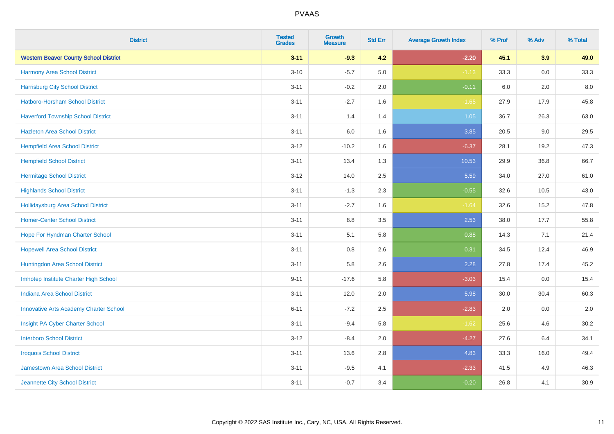| <b>District</b>                               | <b>Tested</b><br><b>Grades</b> | <b>Growth</b><br><b>Measure</b> | <b>Std Err</b> | <b>Average Growth Index</b> | % Prof | % Adv   | % Total |
|-----------------------------------------------|--------------------------------|---------------------------------|----------------|-----------------------------|--------|---------|---------|
| <b>Western Beaver County School District</b>  | $3 - 11$                       | $-9.3$                          | 4.2            | $-2.20$                     | 45.1   | 3.9     | 49.0    |
| Harmony Area School District                  | $3 - 10$                       | $-5.7$                          | 5.0            | $-1.13$                     | 33.3   | 0.0     | 33.3    |
| <b>Harrisburg City School District</b>        | $3 - 11$                       | $-0.2$                          | 2.0            | $-0.11$                     | 6.0    | 2.0     | 8.0     |
| Hatboro-Horsham School District               | $3 - 11$                       | $-2.7$                          | 1.6            | $-1.65$                     | 27.9   | 17.9    | 45.8    |
| <b>Haverford Township School District</b>     | $3 - 11$                       | 1.4                             | 1.4            | 1.05                        | 36.7   | 26.3    | 63.0    |
| <b>Hazleton Area School District</b>          | $3 - 11$                       | 6.0                             | 1.6            | 3.85                        | 20.5   | 9.0     | 29.5    |
| <b>Hempfield Area School District</b>         | $3 - 12$                       | $-10.2$                         | 1.6            | $-6.37$                     | 28.1   | 19.2    | 47.3    |
| <b>Hempfield School District</b>              | $3 - 11$                       | 13.4                            | 1.3            | 10.53                       | 29.9   | 36.8    | 66.7    |
| <b>Hermitage School District</b>              | $3 - 12$                       | 14.0                            | 2.5            | 5.59                        | 34.0   | 27.0    | 61.0    |
| <b>Highlands School District</b>              | $3 - 11$                       | $-1.3$                          | 2.3            | $-0.55$                     | 32.6   | 10.5    | 43.0    |
| <b>Hollidaysburg Area School District</b>     | $3 - 11$                       | $-2.7$                          | 1.6            | $-1.64$                     | 32.6   | 15.2    | 47.8    |
| <b>Homer-Center School District</b>           | $3 - 11$                       | 8.8                             | 3.5            | 2.53                        | 38.0   | 17.7    | 55.8    |
| Hope For Hyndman Charter School               | $3 - 11$                       | 5.1                             | 5.8            | 0.88                        | 14.3   | 7.1     | 21.4    |
| <b>Hopewell Area School District</b>          | $3 - 11$                       | 0.8                             | 2.6            | 0.31                        | 34.5   | 12.4    | 46.9    |
| Huntingdon Area School District               | $3 - 11$                       | 5.8                             | 2.6            | 2.28                        | 27.8   | 17.4    | 45.2    |
| Imhotep Institute Charter High School         | $9 - 11$                       | $-17.6$                         | 5.8            | $-3.03$                     | 15.4   | $0.0\,$ | 15.4    |
| <b>Indiana Area School District</b>           | $3 - 11$                       | 12.0                            | 2.0            | 5.98                        | 30.0   | 30.4    | 60.3    |
| <b>Innovative Arts Academy Charter School</b> | $6 - 11$                       | $-7.2$                          | 2.5            | $-2.83$                     | 2.0    | 0.0     | 2.0     |
| Insight PA Cyber Charter School               | $3 - 11$                       | $-9.4$                          | 5.8            | $-1.62$                     | 25.6   | 4.6     | 30.2    |
| <b>Interboro School District</b>              | $3 - 12$                       | $-8.4$                          | 2.0            | $-4.27$                     | 27.6   | 6.4     | 34.1    |
| <b>Iroquois School District</b>               | $3 - 11$                       | 13.6                            | 2.8            | 4.83                        | 33.3   | 16.0    | 49.4    |
| Jamestown Area School District                | $3 - 11$                       | $-9.5$                          | 4.1            | $-2.33$                     | 41.5   | 4.9     | 46.3    |
| Jeannette City School District                | $3 - 11$                       | $-0.7$                          | 3.4            | $-0.20$                     | 26.8   | 4.1     | 30.9    |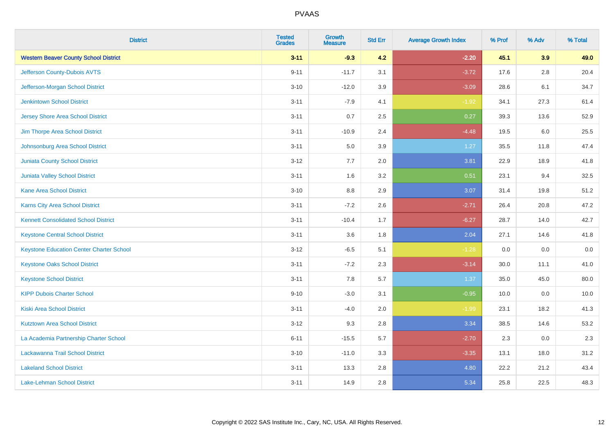| <b>District</b>                                 | <b>Tested</b><br><b>Grades</b> | Growth<br><b>Measure</b> | <b>Std Err</b> | <b>Average Growth Index</b> | % Prof | % Adv   | % Total |
|-------------------------------------------------|--------------------------------|--------------------------|----------------|-----------------------------|--------|---------|---------|
| <b>Western Beaver County School District</b>    | $3 - 11$                       | $-9.3$                   | 4.2            | $-2.20$                     | 45.1   | 3.9     | 49.0    |
| Jefferson County-Dubois AVTS                    | $9 - 11$                       | $-11.7$                  | 3.1            | $-3.72$                     | 17.6   | 2.8     | 20.4    |
| Jefferson-Morgan School District                | $3 - 10$                       | $-12.0$                  | 3.9            | $-3.09$                     | 28.6   | 6.1     | 34.7    |
| <b>Jenkintown School District</b>               | $3 - 11$                       | $-7.9$                   | 4.1            | $-1.92$                     | 34.1   | 27.3    | 61.4    |
| <b>Jersey Shore Area School District</b>        | $3 - 11$                       | 0.7                      | 2.5            | 0.27                        | 39.3   | 13.6    | 52.9    |
| Jim Thorpe Area School District                 | $3 - 11$                       | $-10.9$                  | 2.4            | $-4.48$                     | 19.5   | $6.0\,$ | 25.5    |
| Johnsonburg Area School District                | $3 - 11$                       | 5.0                      | 3.9            | 1.27                        | 35.5   | 11.8    | 47.4    |
| <b>Juniata County School District</b>           | $3 - 12$                       | 7.7                      | 2.0            | 3.81                        | 22.9   | 18.9    | 41.8    |
| Juniata Valley School District                  | $3 - 11$                       | 1.6                      | 3.2            | 0.51                        | 23.1   | 9.4     | 32.5    |
| <b>Kane Area School District</b>                | $3 - 10$                       | 8.8                      | 2.9            | 3.07                        | 31.4   | 19.8    | 51.2    |
| <b>Karns City Area School District</b>          | $3 - 11$                       | $-7.2$                   | 2.6            | $-2.71$                     | 26.4   | 20.8    | 47.2    |
| <b>Kennett Consolidated School District</b>     | $3 - 11$                       | $-10.4$                  | 1.7            | $-6.27$                     | 28.7   | 14.0    | 42.7    |
| <b>Keystone Central School District</b>         | $3 - 11$                       | 3.6                      | 1.8            | 2.04                        | 27.1   | 14.6    | 41.8    |
| <b>Keystone Education Center Charter School</b> | $3 - 12$                       | $-6.5$                   | 5.1            | $-1.28$                     | 0.0    | 0.0     | $0.0\,$ |
| <b>Keystone Oaks School District</b>            | $3 - 11$                       | $-7.2$                   | 2.3            | $-3.14$                     | 30.0   | 11.1    | 41.0    |
| <b>Keystone School District</b>                 | $3 - 11$                       | 7.8                      | 5.7            | 1.37                        | 35.0   | 45.0    | 80.0    |
| <b>KIPP Dubois Charter School</b>               | $9 - 10$                       | $-3.0$                   | 3.1            | $-0.95$                     | 10.0   | 0.0     | 10.0    |
| <b>Kiski Area School District</b>               | $3 - 11$                       | $-4.0$                   | 2.0            | $-1.99$                     | 23.1   | 18.2    | 41.3    |
| <b>Kutztown Area School District</b>            | $3 - 12$                       | 9.3                      | 2.8            | 3.34                        | 38.5   | 14.6    | 53.2    |
| La Academia Partnership Charter School          | $6 - 11$                       | $-15.5$                  | 5.7            | $-2.70$                     | 2.3    | 0.0     | 2.3     |
| Lackawanna Trail School District                | $3 - 10$                       | $-11.0$                  | 3.3            | $-3.35$                     | 13.1   | 18.0    | 31.2    |
| <b>Lakeland School District</b>                 | $3 - 11$                       | 13.3                     | 2.8            | 4.80                        | 22.2   | 21.2    | 43.4    |
| <b>Lake-Lehman School District</b>              | $3 - 11$                       | 14.9                     | 2.8            | 5.34                        | 25.8   | 22.5    | 48.3    |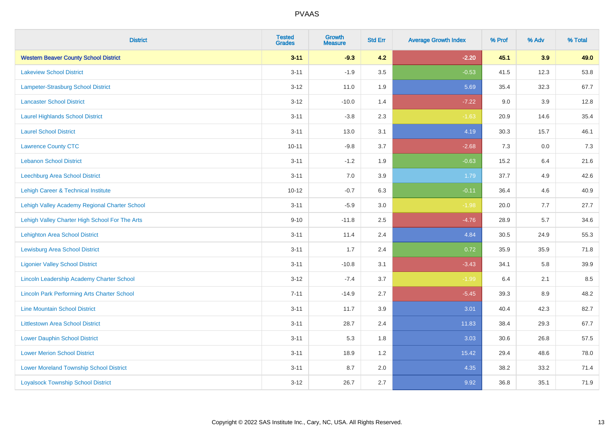| <b>District</b>                                    | <b>Tested</b><br><b>Grades</b> | <b>Growth</b><br><b>Measure</b> | <b>Std Err</b> | <b>Average Growth Index</b> | % Prof | % Adv | % Total |
|----------------------------------------------------|--------------------------------|---------------------------------|----------------|-----------------------------|--------|-------|---------|
| <b>Western Beaver County School District</b>       | $3 - 11$                       | $-9.3$                          | 4.2            | $-2.20$                     | 45.1   | 3.9   | 49.0    |
| <b>Lakeview School District</b>                    | $3 - 11$                       | $-1.9$                          | 3.5            | $-0.53$                     | 41.5   | 12.3  | 53.8    |
| <b>Lampeter-Strasburg School District</b>          | $3 - 12$                       | 11.0                            | 1.9            | 5.69                        | 35.4   | 32.3  | 67.7    |
| <b>Lancaster School District</b>                   | $3 - 12$                       | $-10.0$                         | 1.4            | $-7.22$                     | 9.0    | 3.9   | 12.8    |
| <b>Laurel Highlands School District</b>            | $3 - 11$                       | $-3.8$                          | 2.3            | $-1.63$                     | 20.9   | 14.6  | 35.4    |
| <b>Laurel School District</b>                      | $3 - 11$                       | 13.0                            | 3.1            | 4.19                        | 30.3   | 15.7  | 46.1    |
| <b>Lawrence County CTC</b>                         | $10 - 11$                      | $-9.8$                          | 3.7            | $-2.68$                     | 7.3    | 0.0   | 7.3     |
| <b>Lebanon School District</b>                     | $3 - 11$                       | $-1.2$                          | 1.9            | $-0.63$                     | 15.2   | 6.4   | 21.6    |
| Leechburg Area School District                     | $3 - 11$                       | 7.0                             | 3.9            | 1.79                        | 37.7   | 4.9   | 42.6    |
| Lehigh Career & Technical Institute                | $10 - 12$                      | $-0.7$                          | 6.3            | $-0.11$                     | 36.4   | 4.6   | 40.9    |
| Lehigh Valley Academy Regional Charter School      | $3 - 11$                       | $-5.9$                          | 3.0            | $-1.98$                     | 20.0   | 7.7   | 27.7    |
| Lehigh Valley Charter High School For The Arts     | $9 - 10$                       | $-11.8$                         | 2.5            | $-4.76$                     | 28.9   | 5.7   | 34.6    |
| <b>Lehighton Area School District</b>              | $3 - 11$                       | 11.4                            | 2.4            | 4.84                        | 30.5   | 24.9  | 55.3    |
| <b>Lewisburg Area School District</b>              | $3 - 11$                       | 1.7                             | 2.4            | 0.72                        | 35.9   | 35.9  | 71.8    |
| <b>Ligonier Valley School District</b>             | $3 - 11$                       | $-10.8$                         | 3.1            | $-3.43$                     | 34.1   | 5.8   | 39.9    |
| <b>Lincoln Leadership Academy Charter School</b>   | $3 - 12$                       | $-7.4$                          | 3.7            | $-1.99$                     | 6.4    | 2.1   | 8.5     |
| <b>Lincoln Park Performing Arts Charter School</b> | $7 - 11$                       | $-14.9$                         | 2.7            | $-5.45$                     | 39.3   | 8.9   | 48.2    |
| <b>Line Mountain School District</b>               | $3 - 11$                       | 11.7                            | 3.9            | 3.01                        | 40.4   | 42.3  | 82.7    |
| <b>Littlestown Area School District</b>            | $3 - 11$                       | 28.7                            | 2.4            | 11.83                       | 38.4   | 29.3  | 67.7    |
| <b>Lower Dauphin School District</b>               | $3 - 11$                       | 5.3                             | 1.8            | 3.03                        | 30.6   | 26.8  | 57.5    |
| <b>Lower Merion School District</b>                | $3 - 11$                       | 18.9                            | 1.2            | 15.42                       | 29.4   | 48.6  | 78.0    |
| <b>Lower Moreland Township School District</b>     | $3 - 11$                       | 8.7                             | 2.0            | 4.35                        | 38.2   | 33.2  | 71.4    |
| <b>Loyalsock Township School District</b>          | $3 - 12$                       | 26.7                            | 2.7            | 9.92                        | 36.8   | 35.1  | 71.9    |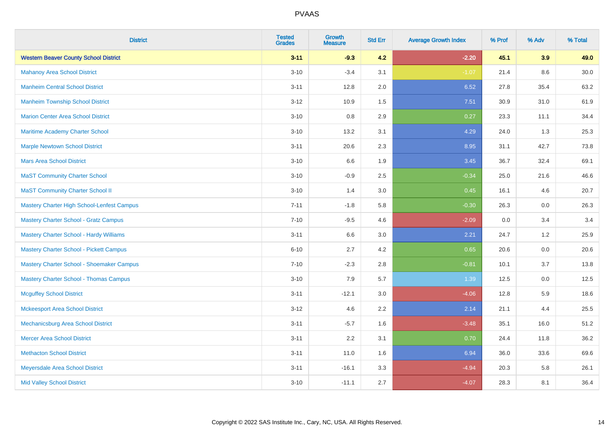| <b>District</b>                                | <b>Tested</b><br><b>Grades</b> | <b>Growth</b><br><b>Measure</b> | <b>Std Err</b> | <b>Average Growth Index</b> | % Prof | % Adv   | % Total  |
|------------------------------------------------|--------------------------------|---------------------------------|----------------|-----------------------------|--------|---------|----------|
| <b>Western Beaver County School District</b>   | $3 - 11$                       | $-9.3$                          | 4.2            | $-2.20$                     | 45.1   | 3.9     | 49.0     |
| <b>Mahanoy Area School District</b>            | $3 - 10$                       | $-3.4$                          | 3.1            | $-1.07$                     | 21.4   | $8.6\,$ | $30.0\,$ |
| <b>Manheim Central School District</b>         | $3 - 11$                       | 12.8                            | 2.0            | 6.52                        | 27.8   | 35.4    | 63.2     |
| <b>Manheim Township School District</b>        | $3 - 12$                       | 10.9                            | 1.5            | 7.51                        | 30.9   | 31.0    | 61.9     |
| <b>Marion Center Area School District</b>      | $3 - 10$                       | 0.8                             | 2.9            | 0.27                        | 23.3   | 11.1    | 34.4     |
| Maritime Academy Charter School                | $3 - 10$                       | 13.2                            | 3.1            | 4.29                        | 24.0   | 1.3     | 25.3     |
| <b>Marple Newtown School District</b>          | $3 - 11$                       | 20.6                            | 2.3            | 8.95                        | 31.1   | 42.7    | 73.8     |
| <b>Mars Area School District</b>               | $3 - 10$                       | 6.6                             | 1.9            | 3.45                        | 36.7   | 32.4    | 69.1     |
| <b>MaST Community Charter School</b>           | $3 - 10$                       | $-0.9$                          | 2.5            | $-0.34$                     | 25.0   | 21.6    | 46.6     |
| <b>MaST Community Charter School II</b>        | $3 - 10$                       | 1.4                             | 3.0            | 0.45                        | 16.1   | 4.6     | 20.7     |
| Mastery Charter High School-Lenfest Campus     | $7 - 11$                       | $-1.8$                          | 5.8            | $-0.30$                     | 26.3   | 0.0     | 26.3     |
| <b>Mastery Charter School - Gratz Campus</b>   | $7 - 10$                       | $-9.5$                          | 4.6            | $-2.09$                     | 0.0    | 3.4     | 3.4      |
| <b>Mastery Charter School - Hardy Williams</b> | $3 - 11$                       | 6.6                             | 3.0            | 2.21                        | 24.7   | 1.2     | 25.9     |
| Mastery Charter School - Pickett Campus        | $6 - 10$                       | 2.7                             | 4.2            | 0.65                        | 20.6   | 0.0     | 20.6     |
| Mastery Charter School - Shoemaker Campus      | $7 - 10$                       | $-2.3$                          | 2.8            | $-0.81$                     | 10.1   | 3.7     | 13.8     |
| <b>Mastery Charter School - Thomas Campus</b>  | $3 - 10$                       | 7.9                             | 5.7            | 1.39                        | 12.5   | $0.0\,$ | 12.5     |
| <b>Mcguffey School District</b>                | $3 - 11$                       | $-12.1$                         | 3.0            | $-4.06$                     | 12.8   | 5.9     | 18.6     |
| <b>Mckeesport Area School District</b>         | $3 - 12$                       | 4.6                             | 2.2            | 2.14                        | 21.1   | 4.4     | 25.5     |
| Mechanicsburg Area School District             | $3 - 11$                       | $-5.7$                          | 1.6            | $-3.48$                     | 35.1   | 16.0    | 51.2     |
| <b>Mercer Area School District</b>             | $3 - 11$                       | 2.2                             | 3.1            | 0.70                        | 24.4   | 11.8    | 36.2     |
| <b>Methacton School District</b>               | $3 - 11$                       | 11.0                            | 1.6            | 6.94                        | 36.0   | 33.6    | 69.6     |
| Meyersdale Area School District                | $3 - 11$                       | $-16.1$                         | 3.3            | $-4.94$                     | 20.3   | 5.8     | 26.1     |
| <b>Mid Valley School District</b>              | $3 - 10$                       | $-11.1$                         | 2.7            | $-4.07$                     | 28.3   | 8.1     | 36.4     |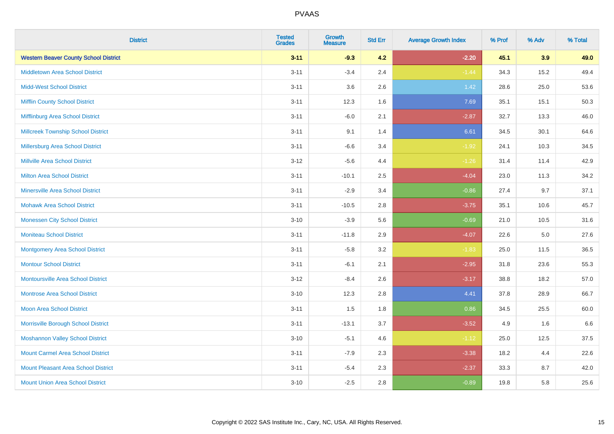| <b>District</b>                              | <b>Tested</b><br><b>Grades</b> | Growth<br><b>Measure</b> | <b>Std Err</b> | <b>Average Growth Index</b> | % Prof | % Adv | % Total |
|----------------------------------------------|--------------------------------|--------------------------|----------------|-----------------------------|--------|-------|---------|
| <b>Western Beaver County School District</b> | $3 - 11$                       | $-9.3$                   | 4.2            | $-2.20$                     | 45.1   | 3.9   | 49.0    |
| <b>Middletown Area School District</b>       | $3 - 11$                       | $-3.4$                   | 2.4            | $-1.44$                     | 34.3   | 15.2  | 49.4    |
| <b>Midd-West School District</b>             | $3 - 11$                       | 3.6                      | 2.6            | 1.42                        | 28.6   | 25.0  | 53.6    |
| <b>Mifflin County School District</b>        | $3 - 11$                       | 12.3                     | 1.6            | 7.69                        | 35.1   | 15.1  | 50.3    |
| Mifflinburg Area School District             | $3 - 11$                       | $-6.0$                   | 2.1            | $-2.87$                     | 32.7   | 13.3  | 46.0    |
| <b>Millcreek Township School District</b>    | $3 - 11$                       | 9.1                      | 1.4            | 6.61                        | 34.5   | 30.1  | 64.6    |
| Millersburg Area School District             | $3 - 11$                       | $-6.6$                   | 3.4            | $-1.92$                     | 24.1   | 10.3  | 34.5    |
| <b>Millville Area School District</b>        | $3 - 12$                       | $-5.6$                   | 4.4            | $-1.26$                     | 31.4   | 11.4  | 42.9    |
| <b>Milton Area School District</b>           | $3 - 11$                       | $-10.1$                  | 2.5            | $-4.04$                     | 23.0   | 11.3  | 34.2    |
| <b>Minersville Area School District</b>      | $3 - 11$                       | $-2.9$                   | 3.4            | $-0.86$                     | 27.4   | 9.7   | 37.1    |
| <b>Mohawk Area School District</b>           | $3 - 11$                       | $-10.5$                  | 2.8            | $-3.75$                     | 35.1   | 10.6  | 45.7    |
| <b>Monessen City School District</b>         | $3 - 10$                       | $-3.9$                   | 5.6            | $-0.69$                     | 21.0   | 10.5  | 31.6    |
| <b>Moniteau School District</b>              | $3 - 11$                       | $-11.8$                  | 2.9            | $-4.07$                     | 22.6   | 5.0   | 27.6    |
| <b>Montgomery Area School District</b>       | $3 - 11$                       | $-5.8$                   | 3.2            | $-1.83$                     | 25.0   | 11.5  | 36.5    |
| <b>Montour School District</b>               | $3 - 11$                       | $-6.1$                   | 2.1            | $-2.95$                     | 31.8   | 23.6  | 55.3    |
| <b>Montoursville Area School District</b>    | $3 - 12$                       | $-8.4$                   | 2.6            | $-3.17$                     | 38.8   | 18.2  | 57.0    |
| <b>Montrose Area School District</b>         | $3 - 10$                       | 12.3                     | 2.8            | 4.41                        | 37.8   | 28.9  | 66.7    |
| <b>Moon Area School District</b>             | $3 - 11$                       | 1.5                      | 1.8            | 0.86                        | 34.5   | 25.5  | 60.0    |
| Morrisville Borough School District          | $3 - 11$                       | $-13.1$                  | 3.7            | $-3.52$                     | 4.9    | 1.6   | 6.6     |
| <b>Moshannon Valley School District</b>      | $3 - 10$                       | $-5.1$                   | 4.6            | $-1.12$                     | 25.0   | 12.5  | 37.5    |
| <b>Mount Carmel Area School District</b>     | $3 - 11$                       | $-7.9$                   | 2.3            | $-3.38$                     | 18.2   | 4.4   | 22.6    |
| <b>Mount Pleasant Area School District</b>   | $3 - 11$                       | $-5.4$                   | 2.3            | $-2.37$                     | 33.3   | 8.7   | 42.0    |
| <b>Mount Union Area School District</b>      | $3 - 10$                       | $-2.5$                   | 2.8            | $-0.89$                     | 19.8   | 5.8   | 25.6    |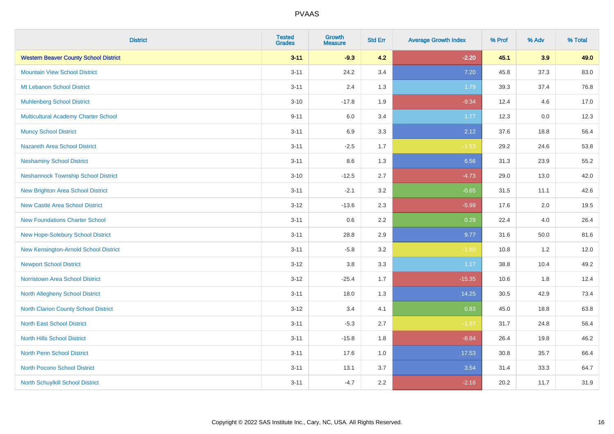| <b>District</b>                              | <b>Tested</b><br><b>Grades</b> | <b>Growth</b><br><b>Measure</b> | <b>Std Err</b> | <b>Average Growth Index</b> | % Prof | % Adv | % Total |
|----------------------------------------------|--------------------------------|---------------------------------|----------------|-----------------------------|--------|-------|---------|
| <b>Western Beaver County School District</b> | $3 - 11$                       | $-9.3$                          | 4.2            | $-2.20$                     | 45.1   | 3.9   | 49.0    |
| <b>Mountain View School District</b>         | $3 - 11$                       | 24.2                            | 3.4            | 7.20                        | 45.8   | 37.3  | 83.0    |
| Mt Lebanon School District                   | $3 - 11$                       | 2.4                             | 1.3            | 1.79                        | 39.3   | 37.4  | 76.8    |
| <b>Muhlenberg School District</b>            | $3 - 10$                       | $-17.8$                         | 1.9            | $-9.34$                     | 12.4   | 4.6   | 17.0    |
| <b>Multicultural Academy Charter School</b>  | $9 - 11$                       | 6.0                             | 3.4            | 1.77                        | 12.3   | 0.0   | 12.3    |
| <b>Muncy School District</b>                 | $3 - 11$                       | 6.9                             | 3.3            | 2.12                        | 37.6   | 18.8  | 56.4    |
| <b>Nazareth Area School District</b>         | $3 - 11$                       | $-2.5$                          | 1.7            | $-1.53$                     | 29.2   | 24.6  | 53.8    |
| <b>Neshaminy School District</b>             | $3 - 11$                       | $8.6\,$                         | 1.3            | 6.56                        | 31.3   | 23.9  | 55.2    |
| <b>Neshannock Township School District</b>   | $3 - 10$                       | $-12.5$                         | 2.7            | $-4.73$                     | 29.0   | 13.0  | 42.0    |
| <b>New Brighton Area School District</b>     | $3 - 11$                       | $-2.1$                          | 3.2            | $-0.65$                     | 31.5   | 11.1  | 42.6    |
| <b>New Castle Area School District</b>       | $3 - 12$                       | $-13.6$                         | 2.3            | $-5.99$                     | 17.6   | 2.0   | 19.5    |
| <b>New Foundations Charter School</b>        | $3 - 11$                       | $0.6\,$                         | 2.2            | 0.29                        | 22.4   | 4.0   | 26.4    |
| New Hope-Solebury School District            | $3 - 11$                       | 28.8                            | 2.9            | 9.77                        | 31.6   | 50.0  | 81.6    |
| New Kensington-Arnold School District        | $3 - 11$                       | $-5.8$                          | 3.2            | $-1.80$                     | 10.8   | 1.2   | 12.0    |
| <b>Newport School District</b>               | $3 - 12$                       | $3.8\,$                         | 3.3            | 1.17                        | 38.8   | 10.4  | 49.2    |
| <b>Norristown Area School District</b>       | $3 - 12$                       | $-25.4$                         | 1.7            | $-15.35$                    | 10.6   | 1.8   | 12.4    |
| <b>North Allegheny School District</b>       | $3 - 11$                       | 18.0                            | 1.3            | 14.25                       | 30.5   | 42.9  | 73.4    |
| <b>North Clarion County School District</b>  | $3 - 12$                       | 3.4                             | 4.1            | 0.83                        | 45.0   | 18.8  | 63.8    |
| <b>North East School District</b>            | $3 - 11$                       | $-5.3$                          | 2.7            | $-1.97$                     | 31.7   | 24.8  | 56.4    |
| <b>North Hills School District</b>           | $3 - 11$                       | $-15.8$                         | 1.8            | $-8.84$                     | 26.4   | 19.8  | 46.2    |
| <b>North Penn School District</b>            | $3 - 11$                       | 17.6                            | 1.0            | 17.53                       | 30.8   | 35.7  | 66.4    |
| <b>North Pocono School District</b>          | $3 - 11$                       | 13.1                            | 3.7            | 3.54                        | 31.4   | 33.3  | 64.7    |
| North Schuylkill School District             | $3 - 11$                       | $-4.7$                          | 2.2            | $-2.16$                     | 20.2   | 11.7  | 31.9    |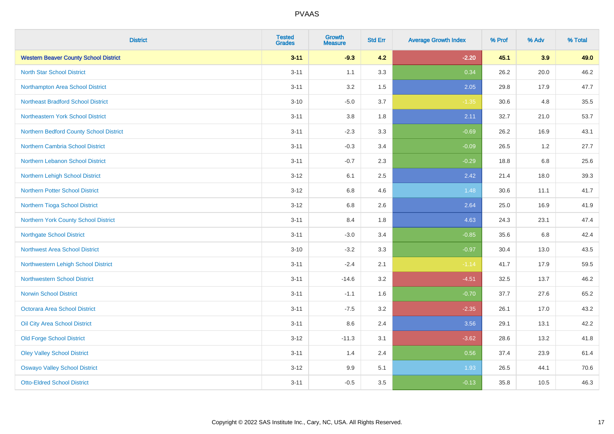| <b>District</b>                              | <b>Tested</b><br><b>Grades</b> | Growth<br><b>Measure</b> | <b>Std Err</b> | <b>Average Growth Index</b> | % Prof | % Adv | % Total |
|----------------------------------------------|--------------------------------|--------------------------|----------------|-----------------------------|--------|-------|---------|
| <b>Western Beaver County School District</b> | $3 - 11$                       | $-9.3$                   | 4.2            | $-2.20$                     | 45.1   | 3.9   | 49.0    |
| <b>North Star School District</b>            | $3 - 11$                       | 1.1                      | 3.3            | 0.34                        | 26.2   | 20.0  | 46.2    |
| Northampton Area School District             | $3 - 11$                       | 3.2                      | 1.5            | 2.05                        | 29.8   | 17.9  | 47.7    |
| <b>Northeast Bradford School District</b>    | $3 - 10$                       | $-5.0$                   | 3.7            | $-1.35$                     | 30.6   | 4.8   | 35.5    |
| Northeastern York School District            | $3 - 11$                       | 3.8                      | 1.8            | 2.11                        | 32.7   | 21.0  | 53.7    |
| Northern Bedford County School District      | $3 - 11$                       | $-2.3$                   | 3.3            | $-0.69$                     | 26.2   | 16.9  | 43.1    |
| <b>Northern Cambria School District</b>      | $3 - 11$                       | $-0.3$                   | 3.4            | $-0.09$                     | 26.5   | 1.2   | 27.7    |
| Northern Lebanon School District             | $3 - 11$                       | $-0.7$                   | 2.3            | $-0.29$                     | 18.8   | 6.8   | 25.6    |
| Northern Lehigh School District              | $3 - 12$                       | 6.1                      | 2.5            | 2.42                        | 21.4   | 18.0  | 39.3    |
| <b>Northern Potter School District</b>       | $3 - 12$                       | $6.8\,$                  | 4.6            | 1.48                        | 30.6   | 11.1  | 41.7    |
| Northern Tioga School District               | $3 - 12$                       | 6.8                      | 2.6            | 2.64                        | 25.0   | 16.9  | 41.9    |
| Northern York County School District         | $3 - 11$                       | 8.4                      | 1.8            | 4.63                        | 24.3   | 23.1  | 47.4    |
| <b>Northgate School District</b>             | $3 - 11$                       | $-3.0$                   | 3.4            | $-0.85$                     | 35.6   | 6.8   | 42.4    |
| <b>Northwest Area School District</b>        | $3 - 10$                       | $-3.2$                   | 3.3            | $-0.97$                     | 30.4   | 13.0  | 43.5    |
| Northwestern Lehigh School District          | $3 - 11$                       | $-2.4$                   | 2.1            | $-1.14$                     | 41.7   | 17.9  | 59.5    |
| <b>Northwestern School District</b>          | $3 - 11$                       | $-14.6$                  | 3.2            | $-4.51$                     | 32.5   | 13.7  | 46.2    |
| <b>Norwin School District</b>                | $3 - 11$                       | $-1.1$                   | 1.6            | $-0.70$                     | 37.7   | 27.6  | 65.2    |
| <b>Octorara Area School District</b>         | $3 - 11$                       | $-7.5$                   | 3.2            | $-2.35$                     | 26.1   | 17.0  | 43.2    |
| Oil City Area School District                | $3 - 11$                       | 8.6                      | 2.4            | 3.56                        | 29.1   | 13.1  | 42.2    |
| <b>Old Forge School District</b>             | $3 - 12$                       | $-11.3$                  | 3.1            | $-3.62$                     | 28.6   | 13.2  | 41.8    |
| <b>Oley Valley School District</b>           | $3 - 11$                       | 1.4                      | 2.4            | 0.56                        | 37.4   | 23.9  | 61.4    |
| <b>Oswayo Valley School District</b>         | $3 - 12$                       | 9.9                      | 5.1            | 1.93                        | 26.5   | 44.1  | 70.6    |
| <b>Otto-Eldred School District</b>           | $3 - 11$                       | $-0.5$                   | 3.5            | $-0.13$                     | 35.8   | 10.5  | 46.3    |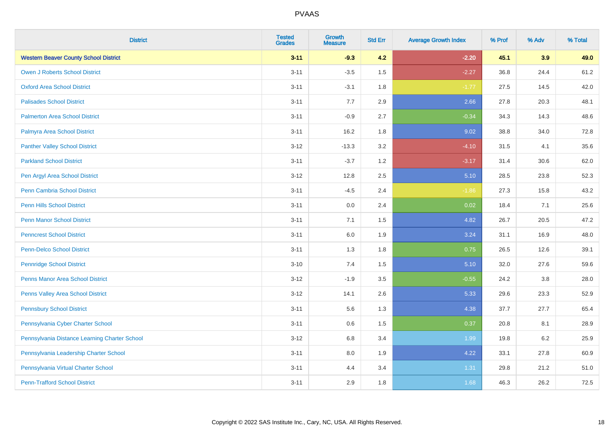| <b>District</b>                               | <b>Tested</b><br><b>Grades</b> | Growth<br><b>Measure</b> | <b>Std Err</b> | <b>Average Growth Index</b> | % Prof | % Adv | % Total |
|-----------------------------------------------|--------------------------------|--------------------------|----------------|-----------------------------|--------|-------|---------|
| <b>Western Beaver County School District</b>  | $3 - 11$                       | $-9.3$                   | 4.2            | $-2.20$                     | 45.1   | 3.9   | 49.0    |
| <b>Owen J Roberts School District</b>         | $3 - 11$                       | $-3.5$                   | 1.5            | $-2.27$                     | 36.8   | 24.4  | 61.2    |
| <b>Oxford Area School District</b>            | $3 - 11$                       | $-3.1$                   | 1.8            | $-1.77$                     | 27.5   | 14.5  | 42.0    |
| <b>Palisades School District</b>              | $3 - 11$                       | 7.7                      | 2.9            | 2.66                        | 27.8   | 20.3  | 48.1    |
| <b>Palmerton Area School District</b>         | $3 - 11$                       | $-0.9$                   | 2.7            | $-0.34$                     | 34.3   | 14.3  | 48.6    |
| Palmyra Area School District                  | $3 - 11$                       | 16.2                     | 1.8            | 9.02                        | 38.8   | 34.0  | 72.8    |
| <b>Panther Valley School District</b>         | $3 - 12$                       | $-13.3$                  | 3.2            | $-4.10$                     | 31.5   | 4.1   | 35.6    |
| <b>Parkland School District</b>               | $3 - 11$                       | $-3.7$                   | 1.2            | $-3.17$                     | 31.4   | 30.6  | 62.0    |
| Pen Argyl Area School District                | $3 - 12$                       | 12.8                     | 2.5            | 5.10                        | 28.5   | 23.8  | 52.3    |
| <b>Penn Cambria School District</b>           | $3 - 11$                       | $-4.5$                   | 2.4            | $-1.86$                     | 27.3   | 15.8  | 43.2    |
| Penn Hills School District                    | $3 - 11$                       | 0.0                      | 2.4            | 0.02                        | 18.4   | 7.1   | 25.6    |
| <b>Penn Manor School District</b>             | $3 - 11$                       | 7.1                      | 1.5            | 4.82                        | 26.7   | 20.5  | 47.2    |
| <b>Penncrest School District</b>              | $3 - 11$                       | 6.0                      | 1.9            | 3.24                        | 31.1   | 16.9  | 48.0    |
| <b>Penn-Delco School District</b>             | $3 - 11$                       | 1.3                      | 1.8            | 0.75                        | 26.5   | 12.6  | 39.1    |
| <b>Pennridge School District</b>              | $3 - 10$                       | $7.4$                    | 1.5            | 5.10                        | 32.0   | 27.6  | 59.6    |
| <b>Penns Manor Area School District</b>       | $3 - 12$                       | $-1.9$                   | 3.5            | $-0.55$                     | 24.2   | 3.8   | 28.0    |
| <b>Penns Valley Area School District</b>      | $3 - 12$                       | 14.1                     | 2.6            | 5.33                        | 29.6   | 23.3  | 52.9    |
| <b>Pennsbury School District</b>              | $3 - 11$                       | 5.6                      | 1.3            | 4.38                        | 37.7   | 27.7  | 65.4    |
| Pennsylvania Cyber Charter School             | $3 - 11$                       | $0.6\,$                  | 1.5            | 0.37                        | 20.8   | 8.1   | 28.9    |
| Pennsylvania Distance Learning Charter School | $3 - 12$                       | 6.8                      | 3.4            | 1.99                        | 19.8   | 6.2   | 25.9    |
| Pennsylvania Leadership Charter School        | $3 - 11$                       | 8.0                      | 1.9            | 4.22                        | 33.1   | 27.8  | 60.9    |
| Pennsylvania Virtual Charter School           | $3 - 11$                       | 4.4                      | 3.4            | 1.31                        | 29.8   | 21.2  | 51.0    |
| <b>Penn-Trafford School District</b>          | $3 - 11$                       | 2.9                      | 1.8            | 1.68                        | 46.3   | 26.2  | 72.5    |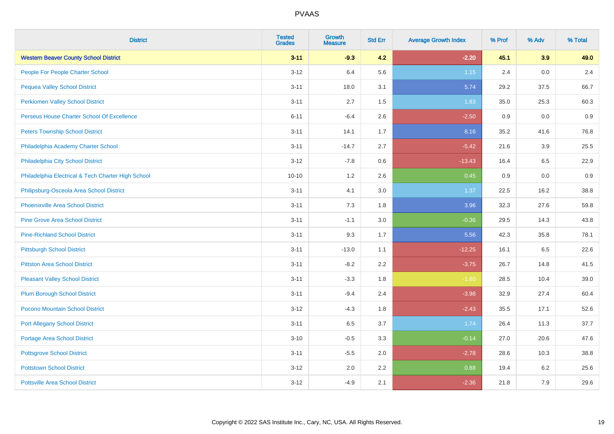| <b>District</b>                                    | <b>Tested</b><br><b>Grades</b> | <b>Growth</b><br><b>Measure</b> | <b>Std Err</b> | <b>Average Growth Index</b> | % Prof | % Adv | % Total |
|----------------------------------------------------|--------------------------------|---------------------------------|----------------|-----------------------------|--------|-------|---------|
| <b>Western Beaver County School District</b>       | $3 - 11$                       | $-9.3$                          | 4.2            | $-2.20$                     | 45.1   | 3.9   | 49.0    |
| People For People Charter School                   | $3 - 12$                       | 6.4                             | 5.6            | 1.15                        | 2.4    | 0.0   | 2.4     |
| <b>Pequea Valley School District</b>               | $3 - 11$                       | 18.0                            | 3.1            | 5.74                        | 29.2   | 37.5  | 66.7    |
| <b>Perkiomen Valley School District</b>            | $3 - 11$                       | 2.7                             | 1.5            | 1.83                        | 35.0   | 25.3  | 60.3    |
| Perseus House Charter School Of Excellence         | $6 - 11$                       | $-6.4$                          | 2.6            | $-2.50$                     | 0.9    | 0.0   | 0.9     |
| <b>Peters Township School District</b>             | $3 - 11$                       | 14.1                            | 1.7            | 8.16                        | 35.2   | 41.6  | 76.8    |
| Philadelphia Academy Charter School                | $3 - 11$                       | $-14.7$                         | 2.7            | $-5.42$                     | 21.6   | 3.9   | 25.5    |
| Philadelphia City School District                  | $3 - 12$                       | $-7.8$                          | 0.6            | $-13.43$                    | 16.4   | 6.5   | 22.9    |
| Philadelphia Electrical & Tech Charter High School | $10 - 10$                      | 1.2                             | 2.6            | 0.45                        | 0.9    | 0.0   | 0.9     |
| Philipsburg-Osceola Area School District           | $3 - 11$                       | 4.1                             | 3.0            | 1.37                        | 22.5   | 16.2  | 38.8    |
| <b>Phoenixville Area School District</b>           | $3 - 11$                       | 7.3                             | 1.8            | 3.96                        | 32.3   | 27.6  | 59.8    |
| <b>Pine Grove Area School District</b>             | $3 - 11$                       | $-1.1$                          | 3.0            | $-0.36$                     | 29.5   | 14.3  | 43.8    |
| <b>Pine-Richland School District</b>               | $3 - 11$                       | 9.3                             | 1.7            | 5.56                        | 42.3   | 35.8  | 78.1    |
| <b>Pittsburgh School District</b>                  | $3 - 11$                       | $-13.0$                         | 1.1            | $-12.25$                    | 16.1   | 6.5   | 22.6    |
| <b>Pittston Area School District</b>               | $3 - 11$                       | $-8.2$                          | 2.2            | $-3.75$                     | 26.7   | 14.8  | 41.5    |
| <b>Pleasant Valley School District</b>             | $3 - 11$                       | $-3.3$                          | 1.8            | $-1.80$                     | 28.5   | 10.4  | 39.0    |
| <b>Plum Borough School District</b>                | $3 - 11$                       | $-9.4$                          | 2.4            | $-3.98$                     | 32.9   | 27.4  | 60.4    |
| Pocono Mountain School District                    | $3 - 12$                       | $-4.3$                          | 1.8            | $-2.43$                     | 35.5   | 17.1  | 52.6    |
| <b>Port Allegany School District</b>               | $3 - 11$                       | 6.5                             | 3.7            | 1.74                        | 26.4   | 11.3  | 37.7    |
| <b>Portage Area School District</b>                | $3 - 10$                       | $-0.5$                          | 3.3            | $-0.14$                     | 27.0   | 20.6  | 47.6    |
| <b>Pottsgrove School District</b>                  | $3 - 11$                       | $-5.5$                          | 2.0            | $-2.78$                     | 28.6   | 10.3  | 38.8    |
| <b>Pottstown School District</b>                   | $3 - 12$                       | 2.0                             | 2.2            | 0.88                        | 19.4   | 6.2   | 25.6    |
| <b>Pottsville Area School District</b>             | $3 - 12$                       | $-4.9$                          | 2.1            | $-2.36$                     | 21.8   | 7.9   | 29.6    |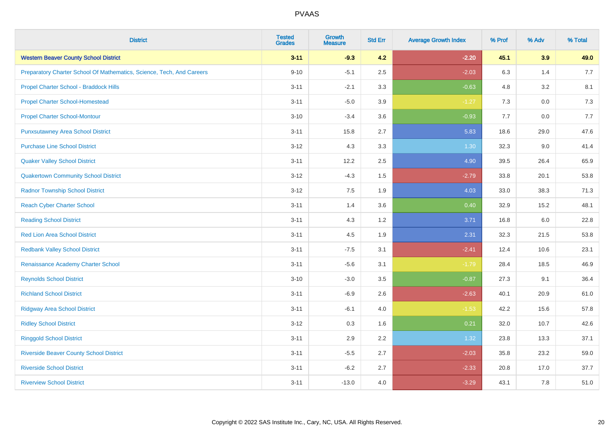| <b>District</b>                                                       | <b>Tested</b><br><b>Grades</b> | Growth<br><b>Measure</b> | <b>Std Err</b> | <b>Average Growth Index</b> | % Prof | % Adv   | % Total |
|-----------------------------------------------------------------------|--------------------------------|--------------------------|----------------|-----------------------------|--------|---------|---------|
| <b>Western Beaver County School District</b>                          | $3 - 11$                       | $-9.3$                   | 4.2            | $-2.20$                     | 45.1   | 3.9     | 49.0    |
| Preparatory Charter School Of Mathematics, Science, Tech, And Careers | $9 - 10$                       | $-5.1$                   | 2.5            | $-2.03$                     | 6.3    | 1.4     | 7.7     |
| Propel Charter School - Braddock Hills                                | $3 - 11$                       | $-2.1$                   | 3.3            | $-0.63$                     | 4.8    | $3.2\,$ | 8.1     |
| <b>Propel Charter School-Homestead</b>                                | $3 - 11$                       | $-5.0$                   | 3.9            | $-1.27$                     | 7.3    | 0.0     | 7.3     |
| <b>Propel Charter School-Montour</b>                                  | $3 - 10$                       | $-3.4$                   | 3.6            | $-0.93$                     | 7.7    | 0.0     | 7.7     |
| <b>Punxsutawney Area School District</b>                              | $3 - 11$                       | 15.8                     | 2.7            | 5.83                        | 18.6   | 29.0    | 47.6    |
| <b>Purchase Line School District</b>                                  | $3 - 12$                       | 4.3                      | 3.3            | 1.30                        | 32.3   | 9.0     | 41.4    |
| <b>Quaker Valley School District</b>                                  | $3 - 11$                       | 12.2                     | 2.5            | 4.90                        | 39.5   | 26.4    | 65.9    |
| <b>Quakertown Community School District</b>                           | $3 - 12$                       | $-4.3$                   | 1.5            | $-2.79$                     | 33.8   | 20.1    | 53.8    |
| <b>Radnor Township School District</b>                                | $3 - 12$                       | 7.5                      | 1.9            | 4.03                        | 33.0   | 38.3    | 71.3    |
| <b>Reach Cyber Charter School</b>                                     | $3 - 11$                       | 1.4                      | 3.6            | 0.40                        | 32.9   | 15.2    | 48.1    |
| <b>Reading School District</b>                                        | $3 - 11$                       | 4.3                      | 1.2            | 3.71                        | 16.8   | 6.0     | 22.8    |
| <b>Red Lion Area School District</b>                                  | $3 - 11$                       | 4.5                      | 1.9            | 2.31                        | 32.3   | 21.5    | 53.8    |
| <b>Redbank Valley School District</b>                                 | $3 - 11$                       | $-7.5$                   | 3.1            | $-2.41$                     | 12.4   | 10.6    | 23.1    |
| Renaissance Academy Charter School                                    | $3 - 11$                       | $-5.6$                   | 3.1            | $-1.79$                     | 28.4   | 18.5    | 46.9    |
| <b>Reynolds School District</b>                                       | $3 - 10$                       | $-3.0$                   | 3.5            | $-0.87$                     | 27.3   | 9.1     | 36.4    |
| <b>Richland School District</b>                                       | $3 - 11$                       | $-6.9$                   | 2.6            | $-2.63$                     | 40.1   | 20.9    | 61.0    |
| <b>Ridgway Area School District</b>                                   | $3 - 11$                       | $-6.1$                   | 4.0            | $-1.53$                     | 42.2   | 15.6    | 57.8    |
| <b>Ridley School District</b>                                         | $3 - 12$                       | 0.3                      | 1.6            | 0.21                        | 32.0   | 10.7    | 42.6    |
| <b>Ringgold School District</b>                                       | $3 - 11$                       | 2.9                      | 2.2            | 1.32                        | 23.8   | 13.3    | 37.1    |
| <b>Riverside Beaver County School District</b>                        | $3 - 11$                       | $-5.5$                   | 2.7            | $-2.03$                     | 35.8   | 23.2    | 59.0    |
| <b>Riverside School District</b>                                      | $3 - 11$                       | $-6.2$                   | 2.7            | $-2.33$                     | 20.8   | 17.0    | 37.7    |
| <b>Riverview School District</b>                                      | $3 - 11$                       | $-13.0$                  | 4.0            | $-3.29$                     | 43.1   | 7.8     | 51.0    |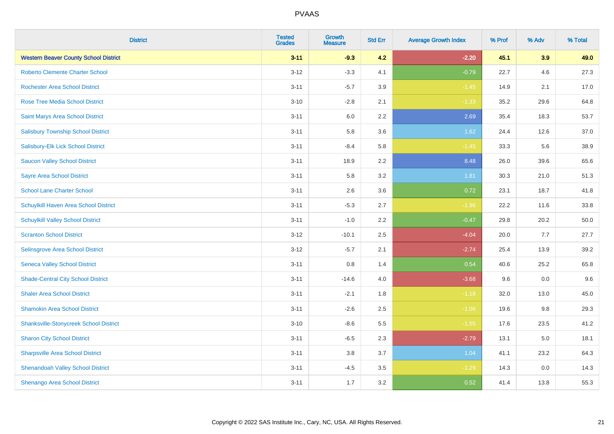| <b>District</b>                               | <b>Tested</b><br><b>Grades</b> | <b>Growth</b><br><b>Measure</b> | <b>Std Err</b> | <b>Average Growth Index</b> | % Prof | % Adv   | % Total |
|-----------------------------------------------|--------------------------------|---------------------------------|----------------|-----------------------------|--------|---------|---------|
| <b>Western Beaver County School District</b>  | $3 - 11$                       | $-9.3$                          | 4.2            | $-2.20$                     | 45.1   | 3.9     | 49.0    |
| <b>Roberto Clemente Charter School</b>        | $3 - 12$                       | $-3.3$                          | 4.1            | $-0.79$                     | 22.7   | 4.6     | 27.3    |
| <b>Rochester Area School District</b>         | $3 - 11$                       | $-5.7$                          | 3.9            | $-1.45$                     | 14.9   | 2.1     | 17.0    |
| <b>Rose Tree Media School District</b>        | $3 - 10$                       | $-2.8$                          | 2.1            | $-1.33$                     | 35.2   | 29.6    | 64.8    |
| Saint Marys Area School District              | $3 - 11$                       | 6.0                             | 2.2            | 2.69                        | 35.4   | 18.3    | 53.7    |
| <b>Salisbury Township School District</b>     | $3 - 11$                       | 5.8                             | 3.6            | 1.62                        | 24.4   | 12.6    | 37.0    |
| Salisbury-Elk Lick School District            | $3 - 11$                       | $-8.4$                          | 5.8            | $-1.45$                     | 33.3   | 5.6     | 38.9    |
| <b>Saucon Valley School District</b>          | $3 - 11$                       | 18.9                            | 2.2            | 8.48                        | 26.0   | 39.6    | 65.6    |
| <b>Sayre Area School District</b>             | $3 - 11$                       | 5.8                             | 3.2            | 1.81                        | 30.3   | 21.0    | 51.3    |
| <b>School Lane Charter School</b>             | $3 - 11$                       | 2.6                             | 3.6            | 0.72                        | 23.1   | 18.7    | 41.8    |
| Schuylkill Haven Area School District         | $3 - 11$                       | $-5.3$                          | 2.7            | $-1.96$                     | 22.2   | 11.6    | 33.8    |
| <b>Schuylkill Valley School District</b>      | $3 - 11$                       | $-1.0$                          | 2.2            | $-0.47$                     | 29.8   | 20.2    | 50.0    |
| <b>Scranton School District</b>               | $3 - 12$                       | $-10.1$                         | 2.5            | $-4.04$                     | 20.0   | 7.7     | 27.7    |
| <b>Selinsgrove Area School District</b>       | $3 - 12$                       | $-5.7$                          | 2.1            | $-2.74$                     | 25.4   | 13.9    | 39.2    |
| <b>Seneca Valley School District</b>          | $3 - 11$                       | 0.8                             | 1.4            | 0.54                        | 40.6   | 25.2    | 65.8    |
| <b>Shade-Central City School District</b>     | $3 - 11$                       | $-14.6$                         | 4.0            | $-3.68$                     | 9.6    | $0.0\,$ | 9.6     |
| <b>Shaler Area School District</b>            | $3 - 11$                       | $-2.1$                          | 1.8            | $-1.18$                     | 32.0   | 13.0    | 45.0    |
| <b>Shamokin Area School District</b>          | $3 - 11$                       | $-2.6$                          | 2.5            | $-1.06$                     | 19.6   | 9.8     | 29.3    |
| <b>Shanksville-Stonycreek School District</b> | $3 - 10$                       | $-8.6$                          | 5.5            | $-1.55$                     | 17.6   | 23.5    | 41.2    |
| <b>Sharon City School District</b>            | $3 - 11$                       | $-6.5$                          | 2.3            | $-2.79$                     | 13.1   | 5.0     | 18.1    |
| <b>Sharpsville Area School District</b>       | $3 - 11$                       | 3.8                             | 3.7            | 1.04                        | 41.1   | 23.2    | 64.3    |
| <b>Shenandoah Valley School District</b>      | $3 - 11$                       | $-4.5$                          | 3.5            | $-1.29$                     | 14.3   | 0.0     | 14.3    |
| Shenango Area School District                 | $3 - 11$                       | 1.7                             | 3.2            | 0.52                        | 41.4   | 13.8    | 55.3    |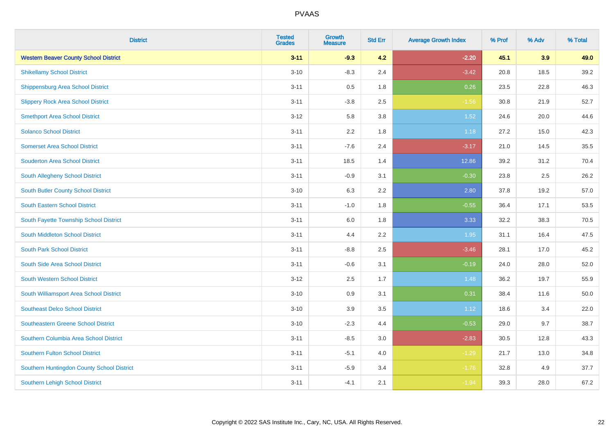| <b>District</b>                              | <b>Tested</b><br><b>Grades</b> | <b>Growth</b><br><b>Measure</b> | <b>Std Err</b> | <b>Average Growth Index</b> | % Prof | % Adv | % Total |
|----------------------------------------------|--------------------------------|---------------------------------|----------------|-----------------------------|--------|-------|---------|
| <b>Western Beaver County School District</b> | $3 - 11$                       | $-9.3$                          | 4.2            | $-2.20$                     | 45.1   | 3.9   | 49.0    |
| <b>Shikellamy School District</b>            | $3 - 10$                       | $-8.3$                          | 2.4            | $-3.42$                     | 20.8   | 18.5  | 39.2    |
| <b>Shippensburg Area School District</b>     | $3 - 11$                       | 0.5                             | 1.8            | 0.26                        | 23.5   | 22.8  | 46.3    |
| <b>Slippery Rock Area School District</b>    | $3 - 11$                       | $-3.8$                          | 2.5            | $-1.56$                     | 30.8   | 21.9  | 52.7    |
| <b>Smethport Area School District</b>        | $3 - 12$                       | 5.8                             | 3.8            | 1.52                        | 24.6   | 20.0  | 44.6    |
| <b>Solanco School District</b>               | $3 - 11$                       | 2.2                             | 1.8            | 1.18                        | 27.2   | 15.0  | 42.3    |
| <b>Somerset Area School District</b>         | $3 - 11$                       | $-7.6$                          | 2.4            | $-3.17$                     | 21.0   | 14.5  | 35.5    |
| <b>Souderton Area School District</b>        | $3 - 11$                       | 18.5                            | 1.4            | 12.86                       | 39.2   | 31.2  | 70.4    |
| <b>South Allegheny School District</b>       | $3 - 11$                       | $-0.9$                          | 3.1            | $-0.30$                     | 23.8   | 2.5   | 26.2    |
| <b>South Butler County School District</b>   | $3 - 10$                       | 6.3                             | 2.2            | 2.80                        | 37.8   | 19.2  | 57.0    |
| <b>South Eastern School District</b>         | $3 - 11$                       | $-1.0$                          | 1.8            | $-0.55$                     | 36.4   | 17.1  | 53.5    |
| South Fayette Township School District       | $3 - 11$                       | 6.0                             | 1.8            | 3.33                        | 32.2   | 38.3  | 70.5    |
| South Middleton School District              | $3 - 11$                       | 4.4                             | 2.2            | 1.95                        | 31.1   | 16.4  | 47.5    |
| <b>South Park School District</b>            | $3 - 11$                       | $-8.8$                          | 2.5            | $-3.46$                     | 28.1   | 17.0  | 45.2    |
| South Side Area School District              | $3 - 11$                       | $-0.6$                          | 3.1            | $-0.19$                     | 24.0   | 28.0  | 52.0    |
| <b>South Western School District</b>         | $3 - 12$                       | 2.5                             | 1.7            | 1.48                        | 36.2   | 19.7  | 55.9    |
| South Williamsport Area School District      | $3 - 10$                       | 0.9                             | 3.1            | 0.31                        | 38.4   | 11.6  | 50.0    |
| <b>Southeast Delco School District</b>       | $3 - 10$                       | 3.9                             | 3.5            | 1.12                        | 18.6   | 3.4   | 22.0    |
| Southeastern Greene School District          | $3 - 10$                       | $-2.3$                          | 4.4            | $-0.53$                     | 29.0   | 9.7   | 38.7    |
| Southern Columbia Area School District       | $3 - 11$                       | $-8.5$                          | 3.0            | $-2.83$                     | 30.5   | 12.8  | 43.3    |
| <b>Southern Fulton School District</b>       | $3 - 11$                       | $-5.1$                          | 4.0            | $-1.29$                     | 21.7   | 13.0  | 34.8    |
| Southern Huntingdon County School District   | $3 - 11$                       | $-5.9$                          | 3.4            | $-1.76$                     | 32.8   | 4.9   | 37.7    |
| <b>Southern Lehigh School District</b>       | $3 - 11$                       | $-4.1$                          | 2.1            | $-1.94$                     | 39.3   | 28.0  | 67.2    |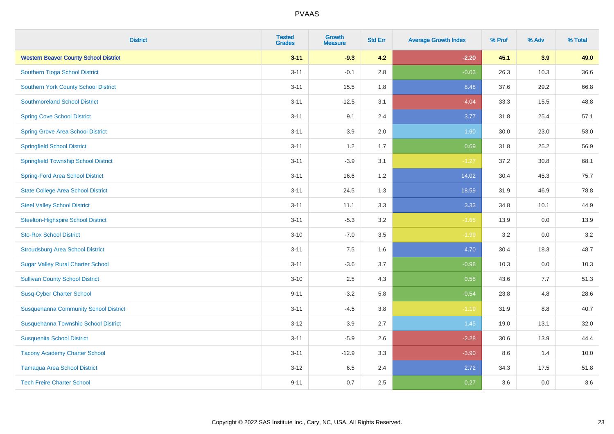| <b>District</b>                              | <b>Tested</b><br><b>Grades</b> | <b>Growth</b><br><b>Measure</b> | <b>Std Err</b> | <b>Average Growth Index</b> | % Prof | % Adv   | % Total |
|----------------------------------------------|--------------------------------|---------------------------------|----------------|-----------------------------|--------|---------|---------|
| <b>Western Beaver County School District</b> | $3 - 11$                       | $-9.3$                          | 4.2            | $-2.20$                     | 45.1   | 3.9     | 49.0    |
| Southern Tioga School District               | $3 - 11$                       | $-0.1$                          | 2.8            | $-0.03$                     | 26.3   | 10.3    | 36.6    |
| <b>Southern York County School District</b>  | $3 - 11$                       | 15.5                            | 1.8            | 8.48                        | 37.6   | 29.2    | 66.8    |
| <b>Southmoreland School District</b>         | $3 - 11$                       | $-12.5$                         | 3.1            | $-4.04$                     | 33.3   | 15.5    | 48.8    |
| <b>Spring Cove School District</b>           | $3 - 11$                       | 9.1                             | 2.4            | 3.77                        | 31.8   | 25.4    | 57.1    |
| <b>Spring Grove Area School District</b>     | $3 - 11$                       | 3.9                             | 2.0            | 1.90                        | 30.0   | 23.0    | 53.0    |
| <b>Springfield School District</b>           | $3 - 11$                       | 1.2                             | 1.7            | 0.69                        | 31.8   | 25.2    | 56.9    |
| <b>Springfield Township School District</b>  | $3 - 11$                       | $-3.9$                          | 3.1            | $-1.27$                     | 37.2   | 30.8    | 68.1    |
| <b>Spring-Ford Area School District</b>      | $3 - 11$                       | 16.6                            | 1.2            | 14.02                       | 30.4   | 45.3    | 75.7    |
| <b>State College Area School District</b>    | $3 - 11$                       | 24.5                            | 1.3            | 18.59                       | 31.9   | 46.9    | 78.8    |
| <b>Steel Valley School District</b>          | $3 - 11$                       | 11.1                            | 3.3            | 3.33                        | 34.8   | 10.1    | 44.9    |
| <b>Steelton-Highspire School District</b>    | $3 - 11$                       | $-5.3$                          | 3.2            | $-1.65$                     | 13.9   | 0.0     | 13.9    |
| <b>Sto-Rox School District</b>               | $3 - 10$                       | $-7.0$                          | 3.5            | $-1.99$                     | 3.2    | $0.0\,$ | 3.2     |
| <b>Stroudsburg Area School District</b>      | $3 - 11$                       | 7.5                             | 1.6            | 4.70                        | 30.4   | 18.3    | 48.7    |
| <b>Sugar Valley Rural Charter School</b>     | $3 - 11$                       | $-3.6$                          | 3.7            | $-0.98$                     | 10.3   | 0.0     | 10.3    |
| <b>Sullivan County School District</b>       | $3 - 10$                       | 2.5                             | 4.3            | 0.58                        | 43.6   | 7.7     | 51.3    |
| <b>Susq-Cyber Charter School</b>             | $9 - 11$                       | $-3.2$                          | 5.8            | $-0.54$                     | 23.8   | 4.8     | 28.6    |
| <b>Susquehanna Community School District</b> | $3 - 11$                       | $-4.5$                          | 3.8            | $-1.19$                     | 31.9   | 8.8     | 40.7    |
| Susquehanna Township School District         | $3 - 12$                       | 3.9                             | 2.7            | 1.45                        | 19.0   | 13.1    | 32.0    |
| <b>Susquenita School District</b>            | $3 - 11$                       | $-5.9$                          | 2.6            | $-2.28$                     | 30.6   | 13.9    | 44.4    |
| <b>Tacony Academy Charter School</b>         | $3 - 11$                       | $-12.9$                         | 3.3            | $-3.90$                     | 8.6    | 1.4     | 10.0    |
| <b>Tamaqua Area School District</b>          | $3 - 12$                       | 6.5                             | 2.4            | 2.72                        | 34.3   | 17.5    | 51.8    |
| <b>Tech Freire Charter School</b>            | $9 - 11$                       | 0.7                             | 2.5            | 0.27                        | 3.6    | 0.0     | 3.6     |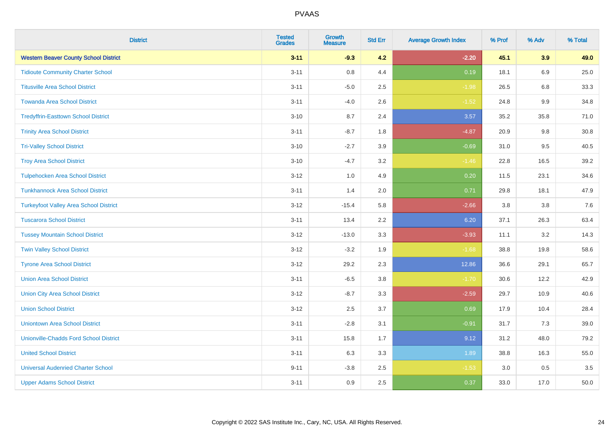| <b>District</b>                               | <b>Tested</b><br><b>Grades</b> | <b>Growth</b><br><b>Measure</b> | <b>Std Err</b> | <b>Average Growth Index</b> | % Prof | % Adv   | % Total |
|-----------------------------------------------|--------------------------------|---------------------------------|----------------|-----------------------------|--------|---------|---------|
| <b>Western Beaver County School District</b>  | $3 - 11$                       | $-9.3$                          | 4.2            | $-2.20$                     | 45.1   | 3.9     | 49.0    |
| <b>Tidioute Community Charter School</b>      | $3 - 11$                       | $0.8\,$                         | 4.4            | 0.19                        | 18.1   | 6.9     | 25.0    |
| <b>Titusville Area School District</b>        | $3 - 11$                       | $-5.0$                          | 2.5            | $-1.98$                     | 26.5   | 6.8     | 33.3    |
| <b>Towanda Area School District</b>           | $3 - 11$                       | $-4.0$                          | 2.6            | $-1.52$                     | 24.8   | $9.9\,$ | 34.8    |
| <b>Tredyffrin-Easttown School District</b>    | $3 - 10$                       | 8.7                             | 2.4            | 3.57                        | 35.2   | 35.8    | 71.0    |
| <b>Trinity Area School District</b>           | $3 - 11$                       | $-8.7$                          | 1.8            | $-4.87$                     | 20.9   | 9.8     | 30.8    |
| <b>Tri-Valley School District</b>             | $3 - 10$                       | $-2.7$                          | 3.9            | $-0.69$                     | 31.0   | 9.5     | 40.5    |
| <b>Troy Area School District</b>              | $3 - 10$                       | $-4.7$                          | 3.2            | $-1.46$                     | 22.8   | 16.5    | 39.2    |
| <b>Tulpehocken Area School District</b>       | $3 - 12$                       | 1.0                             | 4.9            | 0.20                        | 11.5   | 23.1    | 34.6    |
| <b>Tunkhannock Area School District</b>       | $3 - 11$                       | 1.4                             | 2.0            | 0.71                        | 29.8   | 18.1    | 47.9    |
| <b>Turkeyfoot Valley Area School District</b> | $3 - 12$                       | $-15.4$                         | 5.8            | $-2.66$                     | 3.8    | 3.8     | $7.6$   |
| <b>Tuscarora School District</b>              | $3 - 11$                       | 13.4                            | 2.2            | 6.20                        | 37.1   | 26.3    | 63.4    |
| <b>Tussey Mountain School District</b>        | $3 - 12$                       | $-13.0$                         | 3.3            | $-3.93$                     | 11.1   | 3.2     | 14.3    |
| <b>Twin Valley School District</b>            | $3 - 12$                       | $-3.2$                          | 1.9            | $-1.68$                     | 38.8   | 19.8    | 58.6    |
| <b>Tyrone Area School District</b>            | $3 - 12$                       | 29.2                            | 2.3            | 12.86                       | 36.6   | 29.1    | 65.7    |
| <b>Union Area School District</b>             | $3 - 11$                       | $-6.5$                          | 3.8            | $-1.70$                     | 30.6   | 12.2    | 42.9    |
| <b>Union City Area School District</b>        | $3 - 12$                       | $-8.7$                          | 3.3            | $-2.59$                     | 29.7   | 10.9    | 40.6    |
| <b>Union School District</b>                  | $3 - 12$                       | 2.5                             | 3.7            | 0.69                        | 17.9   | 10.4    | 28.4    |
| <b>Uniontown Area School District</b>         | $3 - 11$                       | $-2.8$                          | 3.1            | $-0.91$                     | 31.7   | 7.3     | 39.0    |
| <b>Unionville-Chadds Ford School District</b> | $3 - 11$                       | 15.8                            | 1.7            | 9.12                        | 31.2   | 48.0    | 79.2    |
| <b>United School District</b>                 | $3 - 11$                       | 6.3                             | 3.3            | 1.89                        | 38.8   | 16.3    | 55.0    |
| <b>Universal Audenried Charter School</b>     | $9 - 11$                       | $-3.8$                          | 2.5            | $-1.53$                     | 3.0    | 0.5     | 3.5     |
| <b>Upper Adams School District</b>            | $3 - 11$                       | 0.9                             | 2.5            | 0.37                        | 33.0   | 17.0    | 50.0    |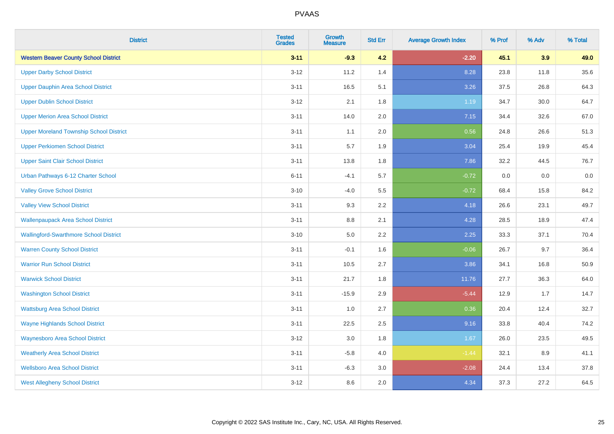| <b>District</b>                                | <b>Tested</b><br><b>Grades</b> | Growth<br><b>Measure</b> | <b>Std Err</b> | <b>Average Growth Index</b> | % Prof | % Adv | % Total |
|------------------------------------------------|--------------------------------|--------------------------|----------------|-----------------------------|--------|-------|---------|
| <b>Western Beaver County School District</b>   | $3 - 11$                       | $-9.3$                   | 4.2            | $-2.20$                     | 45.1   | 3.9   | 49.0    |
| <b>Upper Darby School District</b>             | $3 - 12$                       | 11.2                     | 1.4            | 8.28                        | 23.8   | 11.8  | 35.6    |
| <b>Upper Dauphin Area School District</b>      | $3 - 11$                       | 16.5                     | 5.1            | 3.26                        | 37.5   | 26.8  | 64.3    |
| <b>Upper Dublin School District</b>            | $3 - 12$                       | 2.1                      | 1.8            | 1.19                        | 34.7   | 30.0  | 64.7    |
| <b>Upper Merion Area School District</b>       | $3 - 11$                       | 14.0                     | 2.0            | 7.15                        | 34.4   | 32.6  | 67.0    |
| <b>Upper Moreland Township School District</b> | $3 - 11$                       | 1.1                      | 2.0            | 0.56                        | 24.8   | 26.6  | 51.3    |
| <b>Upper Perkiomen School District</b>         | $3 - 11$                       | 5.7                      | 1.9            | 3.04                        | 25.4   | 19.9  | 45.4    |
| <b>Upper Saint Clair School District</b>       | $3 - 11$                       | 13.8                     | 1.8            | 7.86                        | 32.2   | 44.5  | 76.7    |
| Urban Pathways 6-12 Charter School             | $6 - 11$                       | $-4.1$                   | 5.7            | $-0.72$                     | 0.0    | 0.0   | $0.0\,$ |
| <b>Valley Grove School District</b>            | $3 - 10$                       | $-4.0$                   | 5.5            | $-0.72$                     | 68.4   | 15.8  | 84.2    |
| <b>Valley View School District</b>             | $3 - 11$                       | 9.3                      | 2.2            | 4.18                        | 26.6   | 23.1  | 49.7    |
| <b>Wallenpaupack Area School District</b>      | $3 - 11$                       | 8.8                      | 2.1            | 4.28                        | 28.5   | 18.9  | 47.4    |
| <b>Wallingford-Swarthmore School District</b>  | $3 - 10$                       | 5.0                      | 2.2            | 2.25                        | 33.3   | 37.1  | 70.4    |
| <b>Warren County School District</b>           | $3 - 11$                       | $-0.1$                   | 1.6            | $-0.06$                     | 26.7   | 9.7   | 36.4    |
| <b>Warrior Run School District</b>             | $3 - 11$                       | 10.5                     | 2.7            | 3.86                        | 34.1   | 16.8  | 50.9    |
| <b>Warwick School District</b>                 | $3 - 11$                       | 21.7                     | 1.8            | 11.76                       | 27.7   | 36.3  | 64.0    |
| <b>Washington School District</b>              | $3 - 11$                       | $-15.9$                  | 2.9            | $-5.44$                     | 12.9   | 1.7   | 14.7    |
| <b>Wattsburg Area School District</b>          | $3 - 11$                       | 1.0                      | 2.7            | 0.36                        | 20.4   | 12.4  | 32.7    |
| <b>Wayne Highlands School District</b>         | $3 - 11$                       | 22.5                     | 2.5            | 9.16                        | 33.8   | 40.4  | 74.2    |
| <b>Waynesboro Area School District</b>         | $3 - 12$                       | 3.0                      | 1.8            | 1.67                        | 26.0   | 23.5  | 49.5    |
| <b>Weatherly Area School District</b>          | $3 - 11$                       | $-5.8$                   | 4.0            | $-1.44$                     | 32.1   | 8.9   | 41.1    |
| <b>Wellsboro Area School District</b>          | $3 - 11$                       | $-6.3$                   | 3.0            | $-2.08$                     | 24.4   | 13.4  | 37.8    |
| <b>West Allegheny School District</b>          | $3 - 12$                       | 8.6                      | 2.0            | 4.34                        | 37.3   | 27.2  | 64.5    |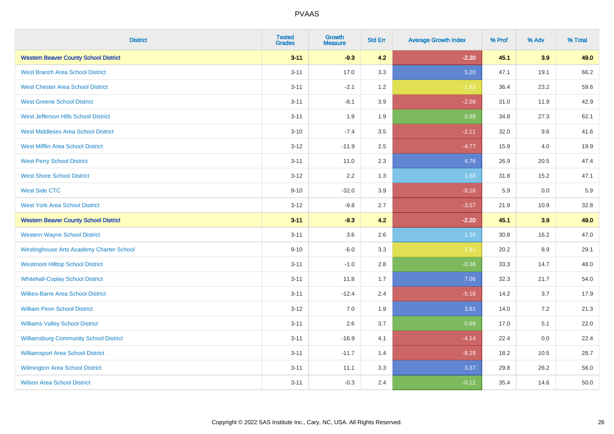| <b>District</b>                                 | <b>Tested</b><br><b>Grades</b> | <b>Growth</b><br><b>Measure</b> | <b>Std Err</b> | <b>Average Growth Index</b> | % Prof | % Adv | % Total |
|-------------------------------------------------|--------------------------------|---------------------------------|----------------|-----------------------------|--------|-------|---------|
| <b>Western Beaver County School District</b>    | $3 - 11$                       | $-9.3$                          | 4.2            | $-2.20$                     | 45.1   | 3.9   | 49.0    |
| <b>West Branch Area School District</b>         | $3 - 11$                       | 17.0                            | 3.3            | 5.20                        | 47.1   | 19.1  | 66.2    |
| <b>West Chester Area School District</b>        | $3 - 11$                       | $-2.1$                          | 1.2            | $-1.83$                     | 36.4   | 23.2  | 59.6    |
| <b>West Greene School District</b>              | $3 - 11$                       | $-8.1$                          | 3.9            | $-2.08$                     | 31.0   | 11.9  | 42.9    |
| West Jefferson Hills School District            | $3 - 11$                       | 1.9                             | 1.9            | 0.99                        | 34.8   | 27.3  | 62.1    |
| <b>West Middlesex Area School District</b>      | $3 - 10$                       | $-7.4$                          | 3.5            | $-2.11$                     | 32.0   | 9.6   | 41.6    |
| <b>West Mifflin Area School District</b>        | $3 - 12$                       | $-11.9$                         | 2.5            | $-4.77$                     | 15.9   | 4.0   | 19.9    |
| <b>West Perry School District</b>               | $3 - 11$                       | 11.0                            | 2.3            | 4.76                        | 26.9   | 20.5  | 47.4    |
| <b>West Shore School District</b>               | $3 - 12$                       | 2.2                             | 1.3            | 1.68                        | 31.8   | 15.2  | 47.1    |
| <b>West Side CTC</b>                            | $9 - 10$                       | $-32.0$                         | 3.9            | $-8.16$                     | 5.9    | 0.0   | 5.9     |
| <b>West York Area School District</b>           | $3 - 12$                       | $-9.8$                          | 2.7            | $-3.57$                     | 21.9   | 10.9  | 32.8    |
| <b>Western Beaver County School District</b>    | $3 - 11$                       | $-9.3$                          | 4.2            | $-2.20$                     | 45.1   | 3.9   | 49.0    |
| <b>Western Wayne School District</b>            | $3 - 11$                       | 3.6                             | 2.6            | 1.39                        | 30.8   | 16.2  | 47.0    |
| <b>Westinghouse Arts Academy Charter School</b> | $9 - 10$                       | $-6.0$                          | 3.3            | $-1.81$                     | 20.2   | 8.9   | 29.1    |
| <b>Westmont Hilltop School District</b>         | $3 - 11$                       | $-1.0$                          | 2.8            | $-0.36$                     | 33.3   | 14.7  | 48.0    |
| <b>Whitehall-Coplay School District</b>         | $3 - 11$                       | 11.8                            | 1.7            | 7.06                        | 32.3   | 21.7  | 54.0    |
| <b>Wilkes-Barre Area School District</b>        | $3 - 11$                       | $-12.4$                         | 2.4            | $-5.18$                     | 14.2   | 3.7   | 17.9    |
| <b>William Penn School District</b>             | $3 - 12$                       | 7.0                             | 1.9            | 3.61                        | 14.0   | 7.2   | 21.3    |
| <b>Williams Valley School District</b>          | $3 - 11$                       | 2.6                             | 3.7            | 0.69                        | 17.0   | 5.1   | 22.0    |
| <b>Williamsburg Community School District</b>   | $3 - 11$                       | $-16.9$                         | 4.1            | $-4.14$                     | 22.4   | 0.0   | 22.4    |
| <b>Williamsport Area School District</b>        | $3 - 11$                       | $-11.7$                         | 1.4            | $-8.29$                     | 18.2   | 10.5  | 28.7    |
| <b>Wilmington Area School District</b>          | $3 - 11$                       | 11.1                            | 3.3            | 3.37                        | 29.8   | 26.2  | 56.0    |
| <b>Wilson Area School District</b>              | $3 - 11$                       | $-0.3$                          | 2.4            | $-0.12$                     | 35.4   | 14.6  | 50.0    |